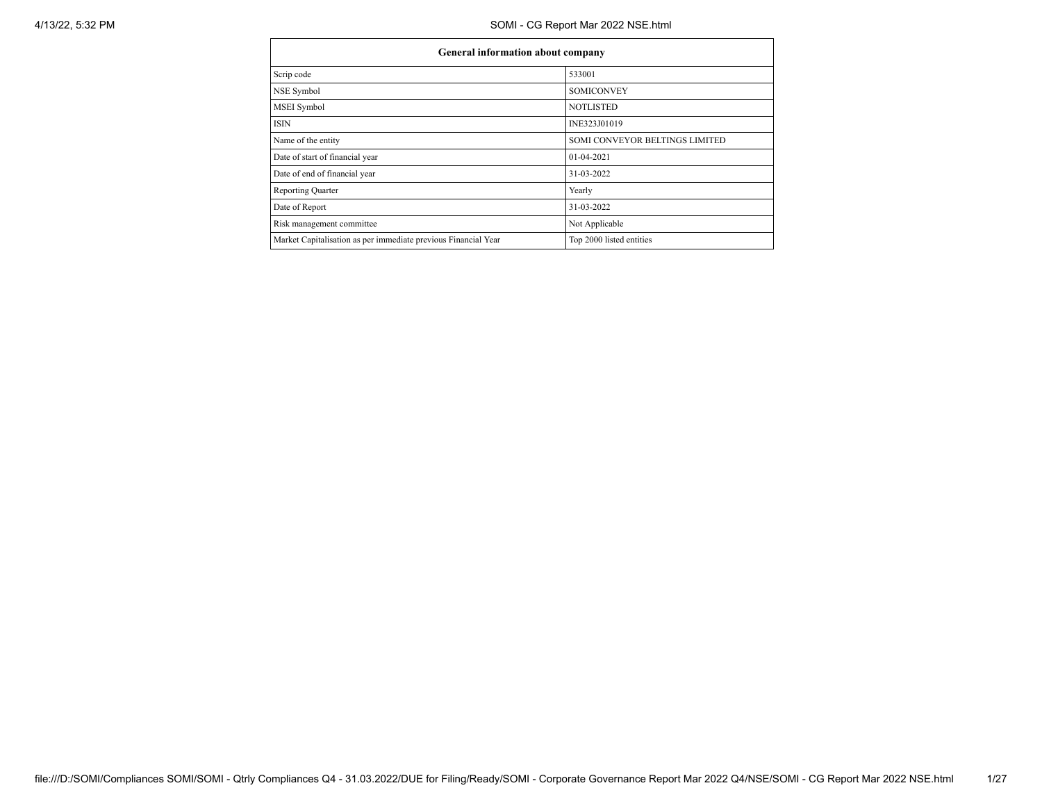| <b>General information about company</b>                       |                                |  |  |  |  |  |  |
|----------------------------------------------------------------|--------------------------------|--|--|--|--|--|--|
| Scrip code                                                     | 533001                         |  |  |  |  |  |  |
| NSE Symbol                                                     | <b>SOMICONVEY</b>              |  |  |  |  |  |  |
| MSEI Symbol                                                    | <b>NOTLISTED</b>               |  |  |  |  |  |  |
| <b>ISIN</b>                                                    | INE323J01019                   |  |  |  |  |  |  |
| Name of the entity                                             | SOMI CONVEYOR BELTINGS LIMITED |  |  |  |  |  |  |
| Date of start of financial year                                | 01-04-2021                     |  |  |  |  |  |  |
| Date of end of financial year                                  | 31-03-2022                     |  |  |  |  |  |  |
| <b>Reporting Quarter</b>                                       | Yearly                         |  |  |  |  |  |  |
| Date of Report                                                 | 31-03-2022                     |  |  |  |  |  |  |
| Risk management committee                                      | Not Applicable                 |  |  |  |  |  |  |
| Market Capitalisation as per immediate previous Financial Year | Top 2000 listed entities       |  |  |  |  |  |  |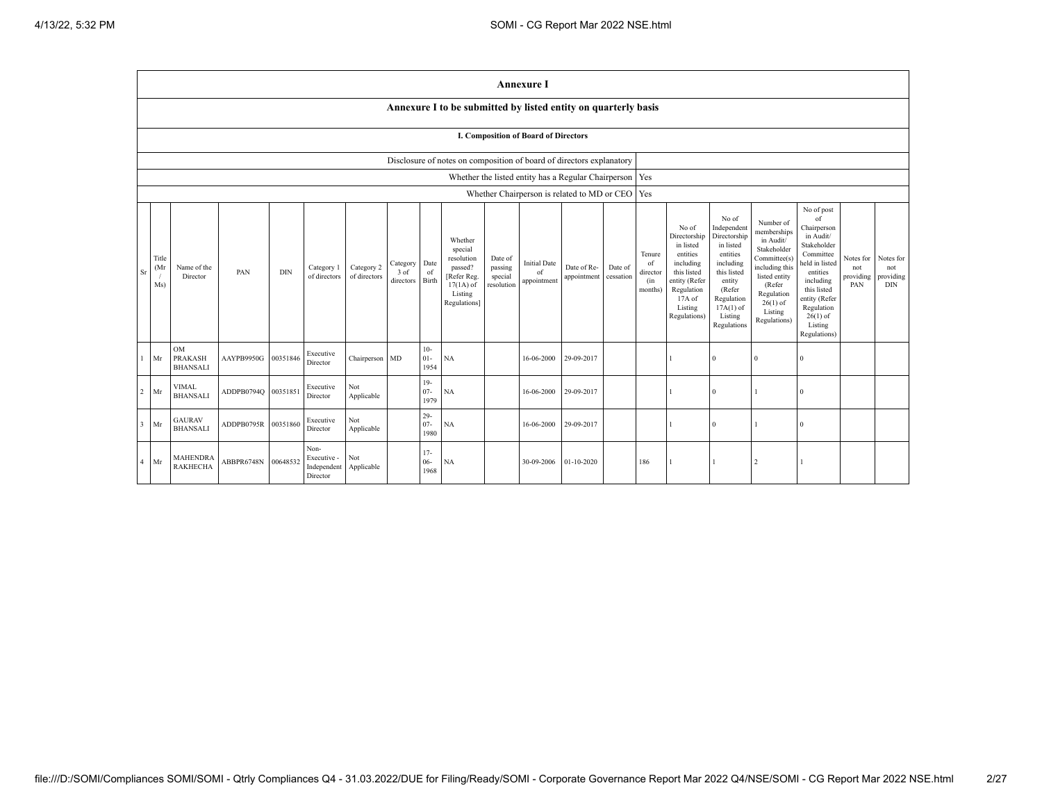|                |                                                                      |                                                |            |            |                                                |                            |                               |                          |                                                                                                      |                                             | <b>Annexure I</b>                        |                                                           |                      |                                            |                                                                                                                                                |                                                                                                                                                                      |                                                                                                                                                                          |                                                                                                                                                                                                            |                                      |                                             |
|----------------|----------------------------------------------------------------------|------------------------------------------------|------------|------------|------------------------------------------------|----------------------------|-------------------------------|--------------------------|------------------------------------------------------------------------------------------------------|---------------------------------------------|------------------------------------------|-----------------------------------------------------------|----------------------|--------------------------------------------|------------------------------------------------------------------------------------------------------------------------------------------------|----------------------------------------------------------------------------------------------------------------------------------------------------------------------|--------------------------------------------------------------------------------------------------------------------------------------------------------------------------|------------------------------------------------------------------------------------------------------------------------------------------------------------------------------------------------------------|--------------------------------------|---------------------------------------------|
|                |                                                                      |                                                |            |            |                                                |                            |                               |                          | Annexure I to be submitted by listed entity on quarterly basis                                       |                                             |                                          |                                                           |                      |                                            |                                                                                                                                                |                                                                                                                                                                      |                                                                                                                                                                          |                                                                                                                                                                                                            |                                      |                                             |
|                | I. Composition of Board of Directors                                 |                                                |            |            |                                                |                            |                               |                          |                                                                                                      |                                             |                                          |                                                           |                      |                                            |                                                                                                                                                |                                                                                                                                                                      |                                                                                                                                                                          |                                                                                                                                                                                                            |                                      |                                             |
|                | Disclosure of notes on composition of board of directors explanatory |                                                |            |            |                                                |                            |                               |                          |                                                                                                      |                                             |                                          |                                                           |                      |                                            |                                                                                                                                                |                                                                                                                                                                      |                                                                                                                                                                          |                                                                                                                                                                                                            |                                      |                                             |
|                |                                                                      |                                                |            |            |                                                |                            |                               |                          |                                                                                                      |                                             |                                          | Whether the listed entity has a Regular Chairperson   Yes |                      |                                            |                                                                                                                                                |                                                                                                                                                                      |                                                                                                                                                                          |                                                                                                                                                                                                            |                                      |                                             |
|                |                                                                      |                                                |            |            |                                                |                            |                               |                          |                                                                                                      |                                             |                                          | Whether Chairperson is related to MD or CEO   Yes         |                      |                                            |                                                                                                                                                |                                                                                                                                                                      |                                                                                                                                                                          |                                                                                                                                                                                                            |                                      |                                             |
| Sr             | Title<br>(Mr)<br>Ms)                                                 | Name of the<br>Director                        | PAN        | <b>DIN</b> | Category 1<br>of directors                     | Category 2<br>of directors | Category<br>3 of<br>directors | Date<br>of<br>Birth      | Whether<br>special<br>resolution<br>passed?<br>[Refer Reg.<br>$17(1A)$ of<br>Listing<br>Regulations] | Date of<br>passing<br>special<br>resolution | <b>Initial Date</b><br>of<br>appointment | Date of Re-<br>appointment                                | Date of<br>cessation | Tenure<br>of<br>director<br>(in<br>months) | No of<br>Directorship<br>in listed<br>entities<br>including<br>this listed<br>entity (Refer<br>Regulation<br>17A of<br>Listing<br>Regulations) | No of<br>Independent<br>Directorship<br>in listed<br>entities<br>including<br>this listed<br>entity<br>(Refer<br>Regulation<br>$17A(1)$ of<br>Listing<br>Regulations | Number of<br>memberships<br>in Audit/<br>Stakeholder<br>Committee(s)<br>including this<br>listed entity<br>(Refer<br>Regulation<br>$26(1)$ of<br>Listing<br>Regulations) | No of post<br>of<br>Chairperson<br>in Audit/<br>Stakeholder<br>Committee<br>held in listed<br>entities<br>including<br>this listed<br>entity (Refer<br>Regulation<br>$26(1)$ of<br>Listing<br>Regulations) | Notes for<br>not<br>providing<br>PAN | Notes for<br>not<br>providing<br><b>DIN</b> |
| $\overline{1}$ | Mr                                                                   | <b>OM</b><br><b>PRAKASH</b><br><b>BHANSALI</b> | AAYPB9950G | 00351846   | Executive<br>Director                          | Chairperson MD             |                               | $10-$<br>$01 -$<br>1954  | NA                                                                                                   |                                             | 16-06-2000                               | 29-09-2017                                                |                      |                                            |                                                                                                                                                | $\theta$                                                                                                                                                             | $\Omega$                                                                                                                                                                 | $\Omega$                                                                                                                                                                                                   |                                      |                                             |
| $\overline{c}$ | Mr                                                                   | VIMAL<br><b>BHANSALI</b>                       | ADDPB0794Q | 00351851   | Executive<br>Director                          | Not<br>Applicable          |                               | $19-$<br>$07 -$<br>1979  | NA                                                                                                   |                                             | 16-06-2000                               | 29-09-2017                                                |                      |                                            |                                                                                                                                                | $\Omega$                                                                                                                                                             |                                                                                                                                                                          | $\Omega$                                                                                                                                                                                                   |                                      |                                             |
| $\overline{3}$ | Mr                                                                   | <b>GAURAV</b><br><b>BHANSALI</b>               | ADDPB0795R | 00351860   | Executive<br>Director                          | Not<br>Applicable          |                               | $29 -$<br>$07 -$<br>1980 | <b>NA</b>                                                                                            |                                             | 16-06-2000                               | 29-09-2017                                                |                      |                                            |                                                                                                                                                | $\theta$                                                                                                                                                             |                                                                                                                                                                          | $\theta$                                                                                                                                                                                                   |                                      |                                             |
| $\overline{4}$ | Mr                                                                   | <b>MAHENDRA</b><br><b>RAKHECHA</b>             | ABBPR6748N | 00648532   | Non-<br>Executive -<br>Independent<br>Director | Not<br>Applicable          |                               | $17-$<br>$06 -$<br>1968  | <b>NA</b>                                                                                            |                                             | 30-09-2006                               | $01-10-2020$                                              |                      | 186                                        |                                                                                                                                                |                                                                                                                                                                      | $\overline{2}$                                                                                                                                                           |                                                                                                                                                                                                            |                                      |                                             |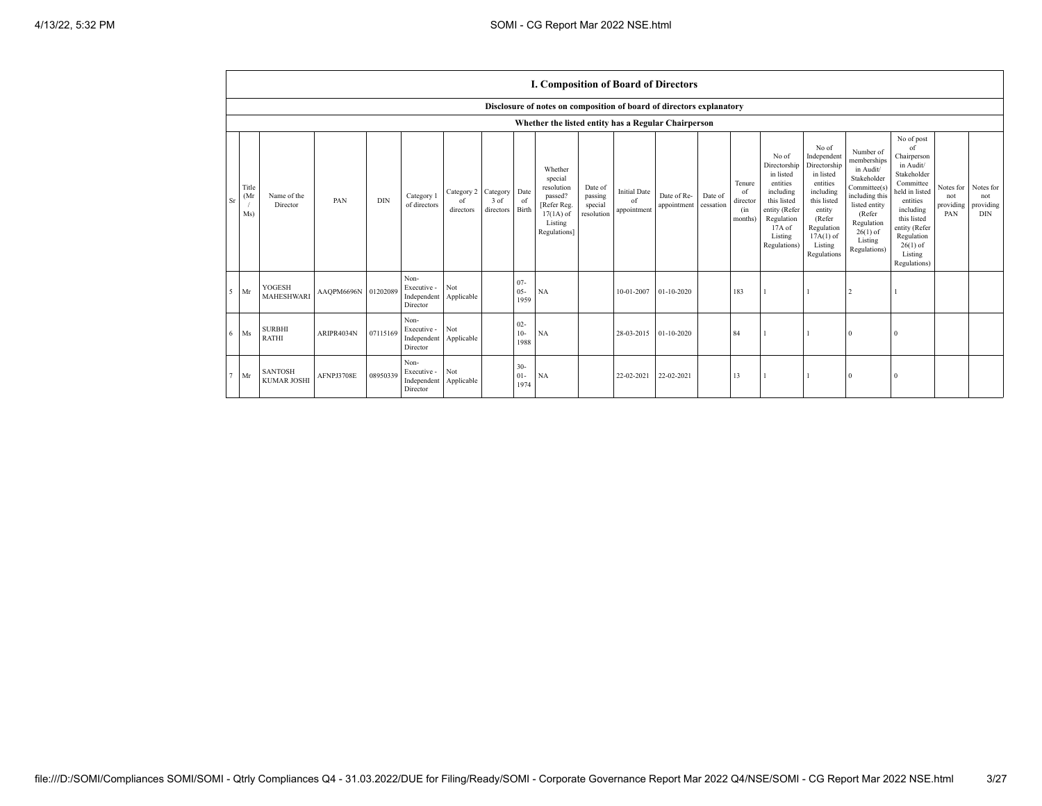|                                                     |                                                                      |                     |            |                                                           |                               |                               |                          | <b>I. Composition of Board of Directors</b>                                                          |                                             |                                          |                            |                      |                                            |                                                                                                                                                |                                                                                                                                                                      |                                                                                                                                                                          |                                                                                                                                                                                                            |                                      |                                               |
|-----------------------------------------------------|----------------------------------------------------------------------|---------------------|------------|-----------------------------------------------------------|-------------------------------|-------------------------------|--------------------------|------------------------------------------------------------------------------------------------------|---------------------------------------------|------------------------------------------|----------------------------|----------------------|--------------------------------------------|------------------------------------------------------------------------------------------------------------------------------------------------|----------------------------------------------------------------------------------------------------------------------------------------------------------------------|--------------------------------------------------------------------------------------------------------------------------------------------------------------------------|------------------------------------------------------------------------------------------------------------------------------------------------------------------------------------------------------------|--------------------------------------|-----------------------------------------------|
|                                                     | Disclosure of notes on composition of board of directors explanatory |                     |            |                                                           |                               |                               |                          |                                                                                                      |                                             |                                          |                            |                      |                                            |                                                                                                                                                |                                                                                                                                                                      |                                                                                                                                                                          |                                                                                                                                                                                                            |                                      |                                               |
| Whether the listed entity has a Regular Chairperson |                                                                      |                     |            |                                                           |                               |                               |                          |                                                                                                      |                                             |                                          |                            |                      |                                            |                                                                                                                                                |                                                                                                                                                                      |                                                                                                                                                                          |                                                                                                                                                                                                            |                                      |                                               |
| Title<br>(Mr<br>Sr<br>Ms)                           | Name of the<br>Director                                              | PAN                 | <b>DIN</b> | Category 1<br>of directors                                | Category 2<br>of<br>directors | Category<br>3 of<br>directors | Date<br>of<br>Birth      | Whether<br>special<br>resolution<br>passed?<br>[Refer Reg.<br>$17(1A)$ of<br>Listing<br>Regulations] | Date of<br>passing<br>special<br>resolution | <b>Initial Date</b><br>of<br>appointment | Date of Re-<br>appointment | Date of<br>cessation | Tenure<br>of<br>director<br>(in<br>months) | No of<br>Directorship<br>in listed<br>entities<br>including<br>this listed<br>entity (Refer<br>Regulation<br>17A of<br>Listing<br>Regulations) | No of<br>Independent<br>Directorship<br>in listed<br>entities<br>including<br>this listed<br>entity<br>(Refer<br>Regulation<br>$17A(1)$ of<br>Listing<br>Regulations | Number of<br>memberships<br>in Audit/<br>Stakeholder<br>Committee(s)<br>including this<br>listed entity<br>(Refer<br>Regulation<br>$26(1)$ of<br>Listing<br>Regulations) | No of post<br>of<br>Chairperson<br>in Audit/<br>Stakeholder<br>Committee<br>held in listed<br>entities<br>including<br>this listed<br>entity (Refer<br>Regulation<br>$26(1)$ of<br>Listing<br>Regulations) | Notes for<br>not<br>providing<br>PAN | Notes for<br>not<br>providing  <br><b>DIN</b> |
| $5$ Mr                                              | YOGESH<br><b>MAHESHWARI</b>                                          | AAQPM6696N 01202089 |            | Non-<br>Executive -<br>Independent<br>Director            | Not<br>Applicable             |                               | $07 -$<br>$05 -$<br>1959 | NA                                                                                                   |                                             | 10-01-2007                               | $01 - 10 - 2020$           |                      | 183                                        |                                                                                                                                                |                                                                                                                                                                      |                                                                                                                                                                          |                                                                                                                                                                                                            |                                      |                                               |
| $6$ Ms                                              | <b>SURBHI</b><br><b>RATHI</b>                                        | ARIPR4034N          | 07115169   | Non-<br>Executive -<br>Independent Applicable<br>Director | Not                           |                               | $02 -$<br>$10-$<br>1988  | NA                                                                                                   |                                             | 28-03-2015                               | 01-10-2020                 |                      | 84                                         |                                                                                                                                                |                                                                                                                                                                      | $\Omega$                                                                                                                                                                 |                                                                                                                                                                                                            |                                      |                                               |
| Mr                                                  | <b>SANTOSH</b><br><b>KUMAR JOSHI</b>                                 | AFNPJ3708E          | 08950339   | Non-<br>Executive -<br>Independent<br>Director            | Not<br>Applicable             |                               | $30 -$<br>$01-$<br>1974  | NA                                                                                                   |                                             | 22-02-2021                               | 22-02-2021                 |                      | 13                                         |                                                                                                                                                |                                                                                                                                                                      | $\Omega$                                                                                                                                                                 |                                                                                                                                                                                                            |                                      |                                               |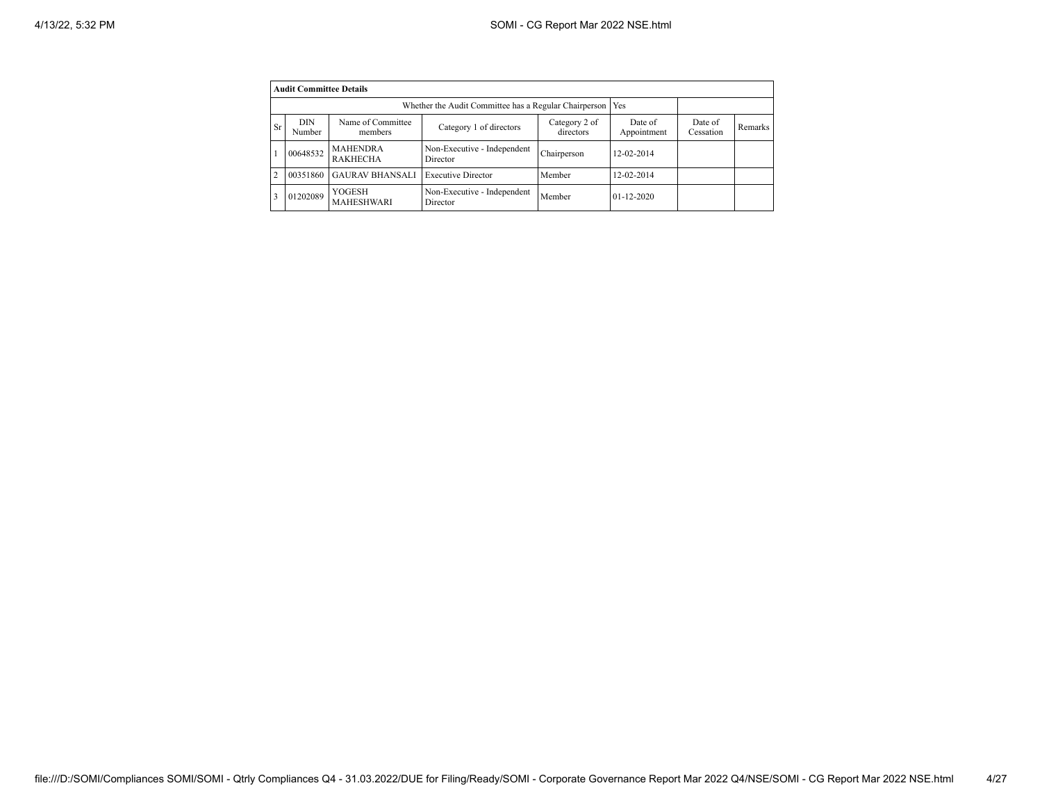|                | <b>Audit Committee Details</b> |                                    |                                         |                            |                        |                      |         |  |  |  |  |
|----------------|--------------------------------|------------------------------------|-----------------------------------------|----------------------------|------------------------|----------------------|---------|--|--|--|--|
|                |                                |                                    |                                         |                            |                        |                      |         |  |  |  |  |
| <b>Sr</b>      | <b>DIN</b><br>Number           | Name of Committee<br>members       | Category 1 of directors                 | Category 2 of<br>directors | Date of<br>Appointment | Date of<br>Cessation | Remarks |  |  |  |  |
|                | 00648532                       | <b>MAHENDRA</b><br><b>RAKHECHA</b> | Non-Executive - Independent<br>Director | Chairperson                | 12-02-2014             |                      |         |  |  |  |  |
| $\overline{2}$ | 00351860                       | <b>GAURAV BHANSALI</b>             | <b>Executive Director</b>               | Member                     | 12-02-2014             |                      |         |  |  |  |  |
| 3              | 01202089                       | YOGESH<br>MAHESHWARI               | Non-Executive - Independent<br>Director | Member                     | $01 - 12 - 2020$       |                      |         |  |  |  |  |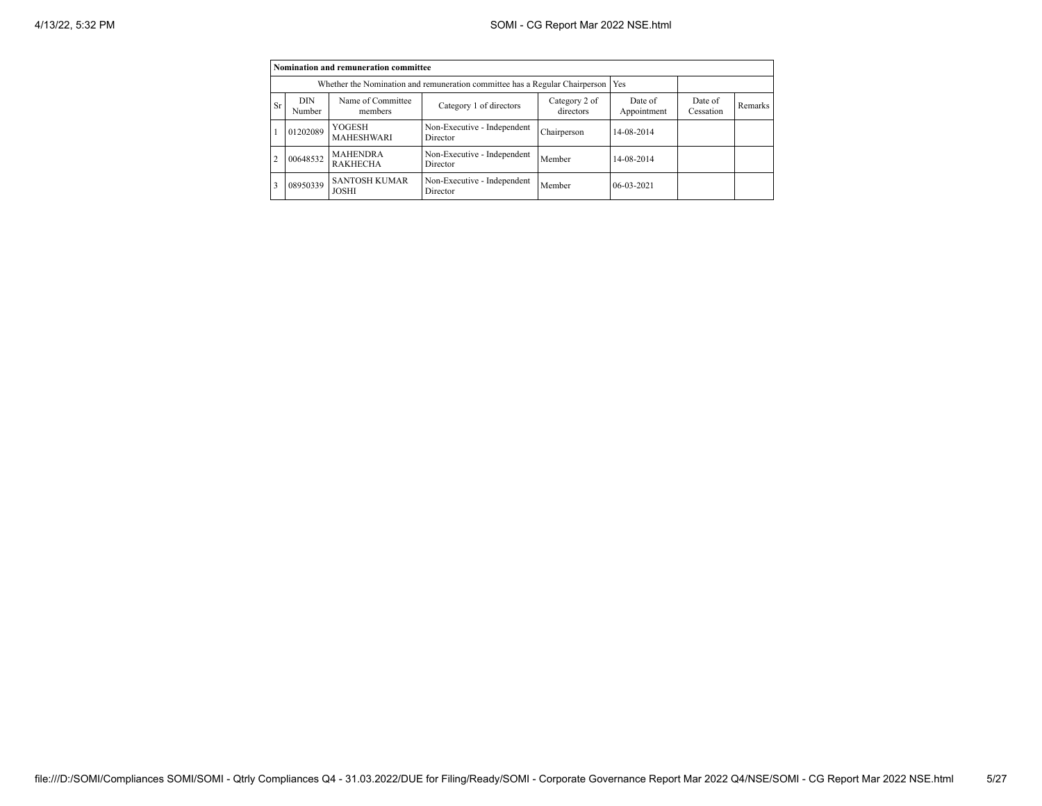|                | Nomination and remuneration committee                                       |                                      |                                         |             |              |  |  |  |  |  |
|----------------|-----------------------------------------------------------------------------|--------------------------------------|-----------------------------------------|-------------|--------------|--|--|--|--|--|
|                | Whether the Nomination and remuneration committee has a Regular Chairperson |                                      |                                         |             |              |  |  |  |  |  |
| <b>Sr</b>      | DIN<br>Number                                                               | Date of<br>Appointment               | Date of<br>Cessation                    | Remarks     |              |  |  |  |  |  |
|                | 01202089                                                                    | YOGESH<br><b>MAHESHWARI</b>          | Non-Executive - Independent<br>Director | Chairperson | 14-08-2014   |  |  |  |  |  |
| $\overline{c}$ | 00648532                                                                    | <b>MAHENDRA</b><br><b>RAKHECHA</b>   | Non-Executive - Independent<br>Director | Member      | 14-08-2014   |  |  |  |  |  |
| 3              | 08950339                                                                    | <b>SANTOSH KUMAR</b><br><b>JOSHI</b> | Non-Executive - Independent<br>Director | Member      | $06-03-2021$ |  |  |  |  |  |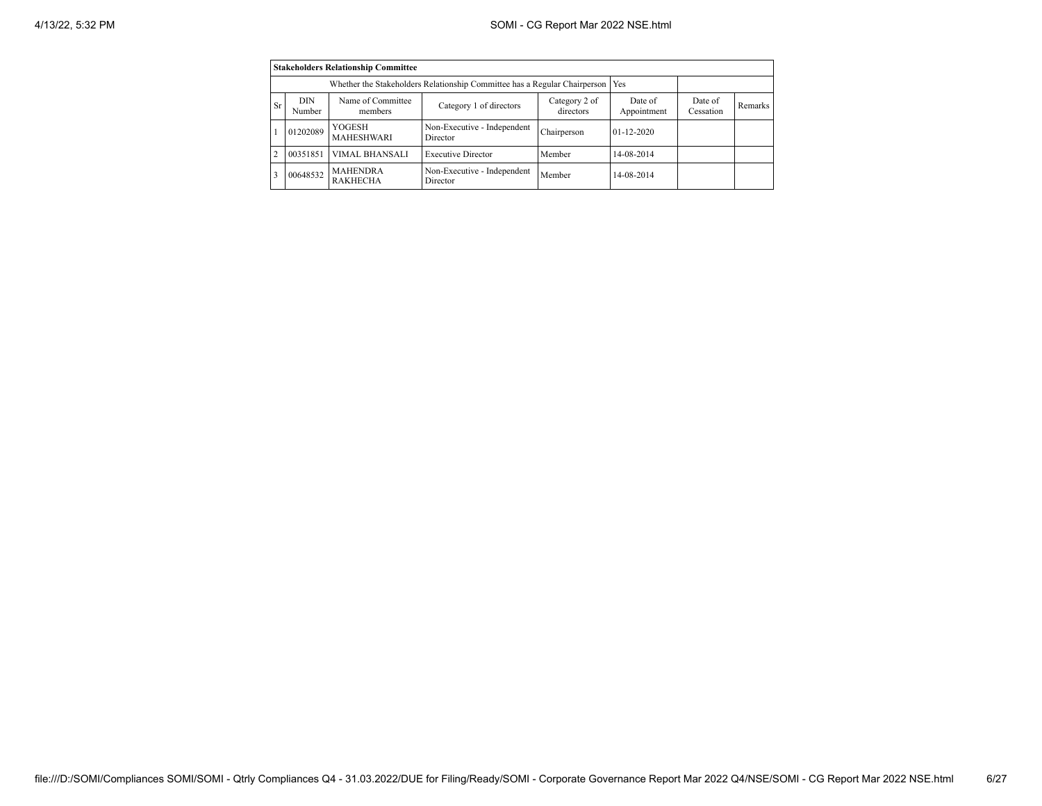|                | <b>Stakeholders Relationship Committee</b> |                                                                           |                                         |                      |                  |  |  |  |  |  |  |
|----------------|--------------------------------------------|---------------------------------------------------------------------------|-----------------------------------------|----------------------|------------------|--|--|--|--|--|--|
|                |                                            | Whether the Stakeholders Relationship Committee has a Regular Chairperson |                                         | Yes                  |                  |  |  |  |  |  |  |
| <b>Sr</b>      | <b>DIN</b><br>Number                       | Name of Committee<br>members                                              | Date of<br>Appointment                  | Date of<br>Cessation | Remarks          |  |  |  |  |  |  |
|                | 01202089                                   | YOGESH<br><b>MAHESHWARI</b>                                               | Non-Executive - Independent<br>Director | Chairperson          | $01 - 12 - 2020$ |  |  |  |  |  |  |
| $\overline{2}$ | 00351851                                   | <b>VIMAL BHANSALI</b>                                                     | <b>Executive Director</b>               | Member               | 14-08-2014       |  |  |  |  |  |  |
| 3              | 00648532                                   | <b>MAHENDRA</b><br><b>RAKHECHA</b>                                        | Non-Executive - Independent<br>Director | Member               | 14-08-2014       |  |  |  |  |  |  |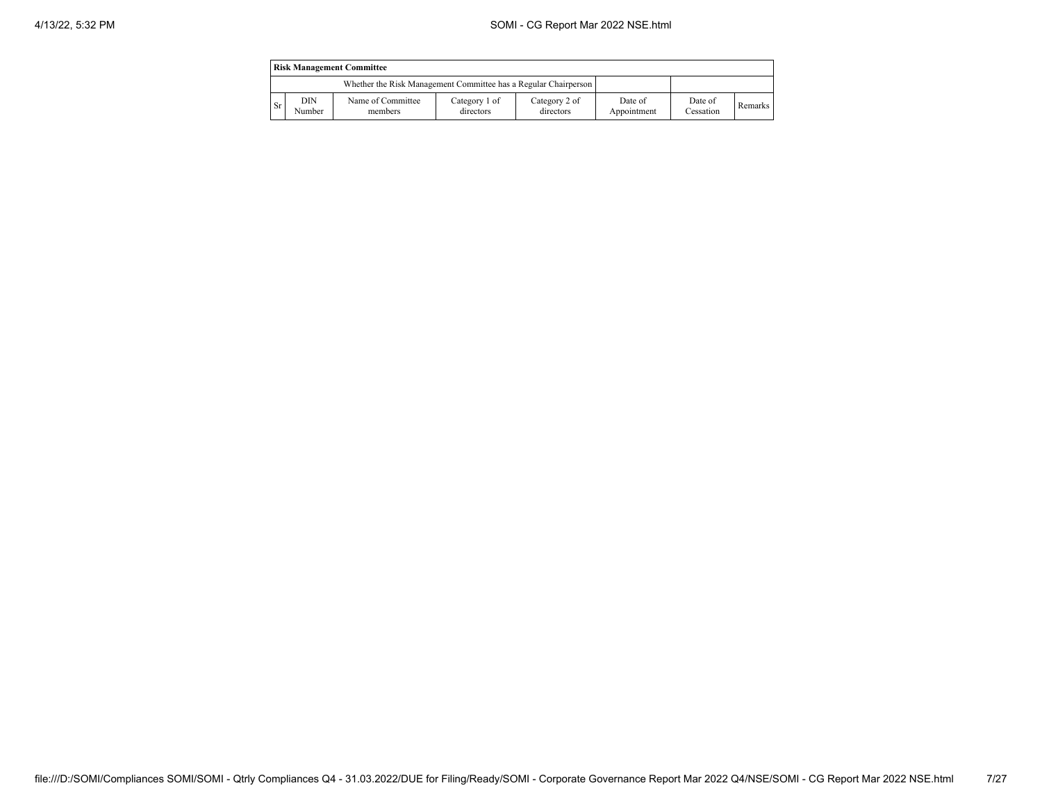|           | <b>Risk Management Committee</b>                                |                              |                            |                            |                        |                      |         |  |  |  |
|-----------|-----------------------------------------------------------------|------------------------------|----------------------------|----------------------------|------------------------|----------------------|---------|--|--|--|
|           | Whether the Risk Management Committee has a Regular Chairperson |                              |                            |                            |                        |                      |         |  |  |  |
| <b>Sr</b> | DIN<br>Number                                                   | Name of Committee<br>members | Category 1 of<br>directors | Category 2 of<br>directors | Date of<br>Appointment | Date of<br>Cessation | Remarks |  |  |  |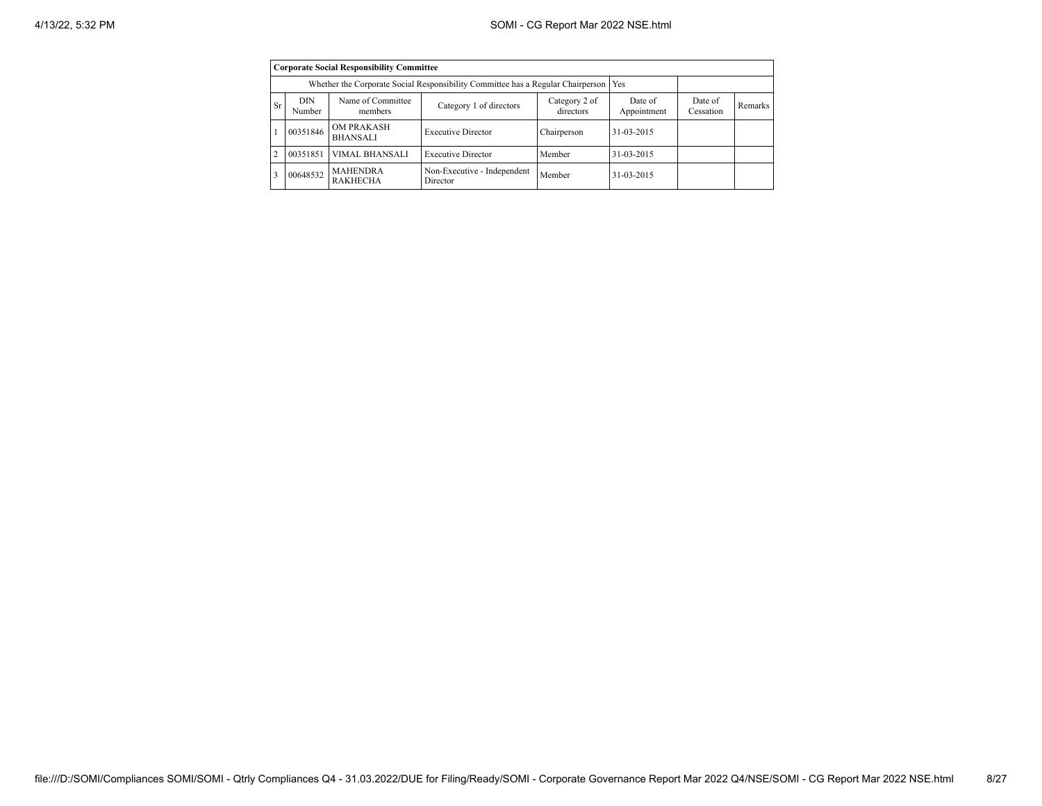|                | <b>Corporate Social Responsibility Committee</b>                                      |                                      |                                         |                      |            |  |  |  |  |  |
|----------------|---------------------------------------------------------------------------------------|--------------------------------------|-----------------------------------------|----------------------|------------|--|--|--|--|--|
|                | Whether the Corporate Social Responsibility Committee has a Regular Chairperson   Yes |                                      |                                         |                      |            |  |  |  |  |  |
| <b>Sr</b>      | DIN<br>Number                                                                         | Name of Committee<br>members         | Date of<br>Appointment                  | Date of<br>Cessation | Remarks    |  |  |  |  |  |
|                | 00351846                                                                              | <b>OM PRAKASH</b><br><b>BHANSALI</b> | <b>Executive Director</b>               | Chairperson          | 31-03-2015 |  |  |  |  |  |
| $\overline{c}$ | 00351851                                                                              | <b>VIMAL BHANSALI</b>                | <b>Executive Director</b>               | Member               | 31-03-2015 |  |  |  |  |  |
| ٩              | 00648532                                                                              | <b>MAHENDRA</b><br><b>RAKHECHA</b>   | Non-Executive - Independent<br>Director | Member               | 31-03-2015 |  |  |  |  |  |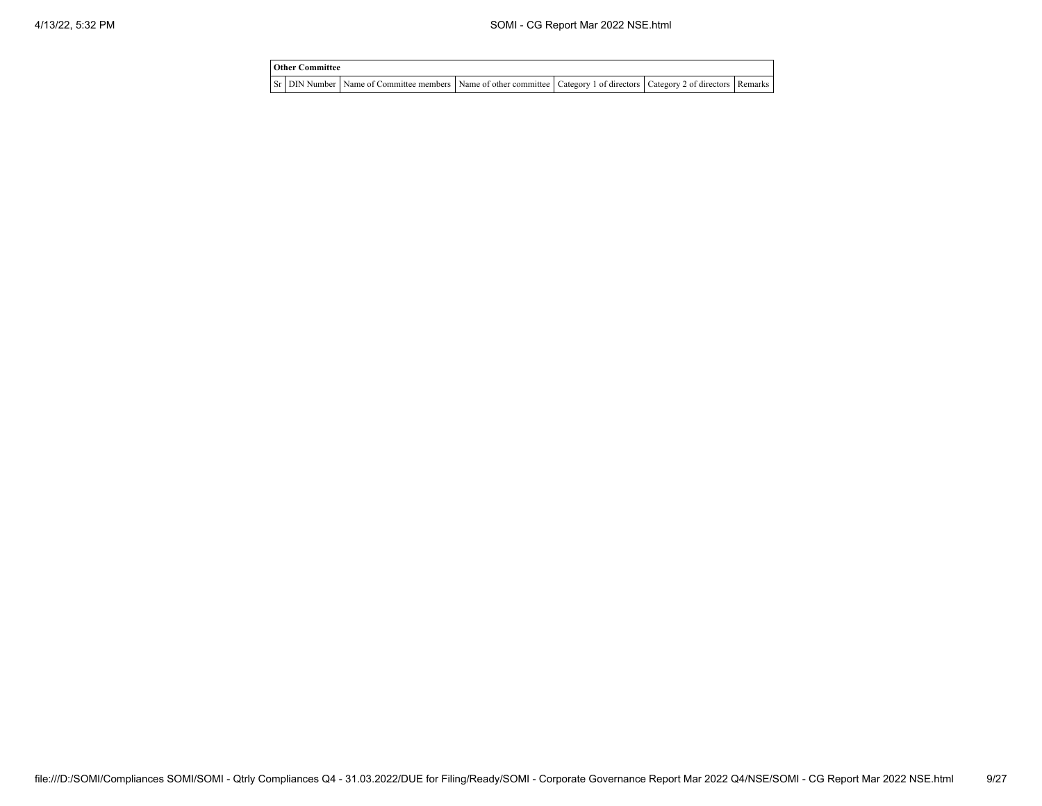| <b>Other Committee</b> |                                                                                                                                     |  |  |  |  |  |  |  |  |
|------------------------|-------------------------------------------------------------------------------------------------------------------------------------|--|--|--|--|--|--|--|--|
|                        | Sr   DIN Number   Name of Committee members   Name of other committee   Category 1 of directors   Category 2 of directors   Remarks |  |  |  |  |  |  |  |  |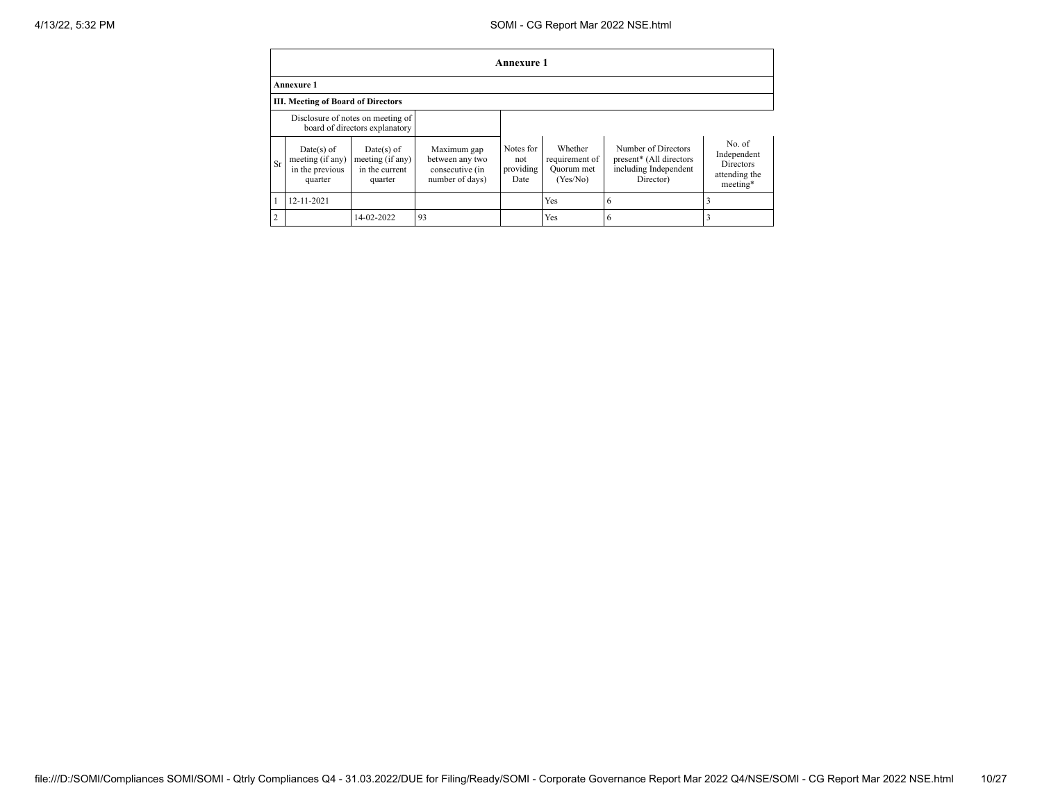## 4/13/22, 5:32 PM SOMI - CG Report Mar 2022 NSE.html

|                | <b>Annexure 1</b>                                                   |                                                                |                                                                      |                                       |                                                     |                                                                                      |                                                                       |  |  |
|----------------|---------------------------------------------------------------------|----------------------------------------------------------------|----------------------------------------------------------------------|---------------------------------------|-----------------------------------------------------|--------------------------------------------------------------------------------------|-----------------------------------------------------------------------|--|--|
|                | <b>Annexure 1</b>                                                   |                                                                |                                                                      |                                       |                                                     |                                                                                      |                                                                       |  |  |
|                | <b>III. Meeting of Board of Directors</b>                           |                                                                |                                                                      |                                       |                                                     |                                                                                      |                                                                       |  |  |
|                | Disclosure of notes on meeting of<br>board of directors explanatory |                                                                |                                                                      |                                       |                                                     |                                                                                      |                                                                       |  |  |
| <b>Sr</b>      | $Date(s)$ of<br>meeting (if any)<br>in the previous<br>quarter      | Date $(s)$ of<br>meeting (if any)<br>in the current<br>quarter | Maximum gap<br>between any two<br>consecutive (in<br>number of days) | Notes for<br>not<br>providing<br>Date | Whether<br>requirement of<br>Quorum met<br>(Yes/No) | Number of Directors<br>present* (All directors<br>including Independent<br>Director) | No of<br>Independent<br><b>Directors</b><br>attending the<br>meeting* |  |  |
|                | 12-11-2021                                                          |                                                                |                                                                      |                                       | Yes                                                 | 6                                                                                    |                                                                       |  |  |
| $\overline{2}$ |                                                                     | 14-02-2022                                                     | 93                                                                   |                                       | Yes                                                 | o                                                                                    |                                                                       |  |  |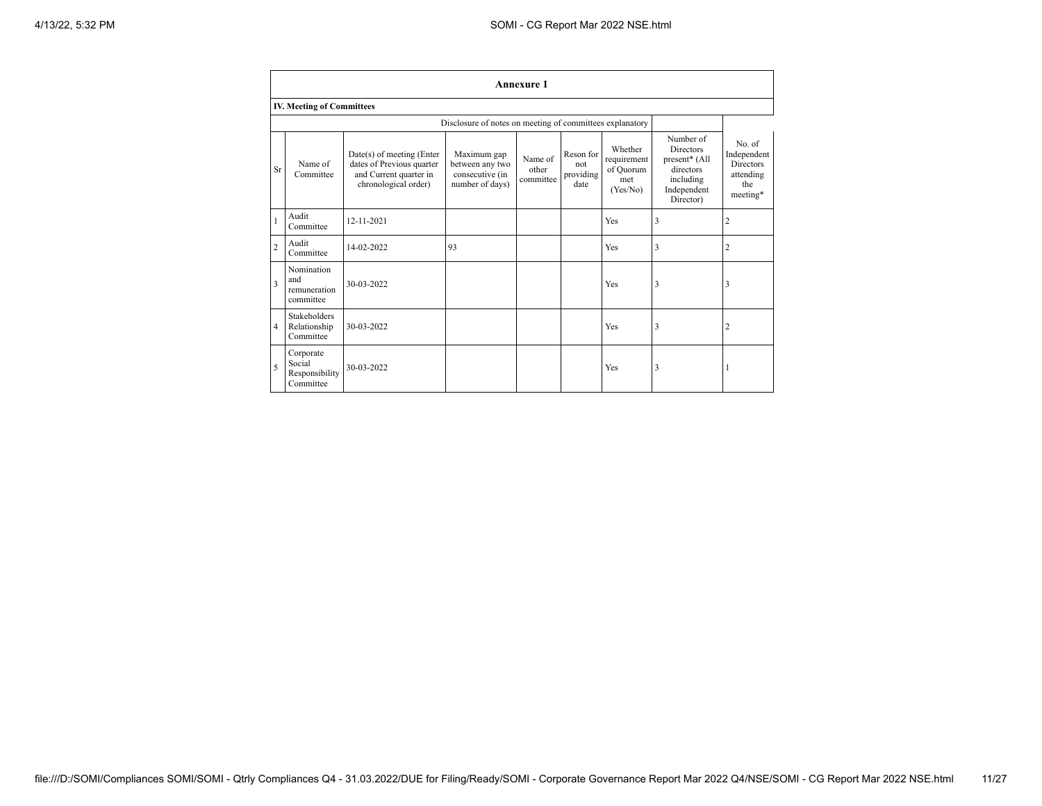|                         | <b>Annexure 1</b>                                  |                                                                                                          |                                                                      |                               |                                       |                                                        |                                                                                                      |                                                                           |  |  |
|-------------------------|----------------------------------------------------|----------------------------------------------------------------------------------------------------------|----------------------------------------------------------------------|-------------------------------|---------------------------------------|--------------------------------------------------------|------------------------------------------------------------------------------------------------------|---------------------------------------------------------------------------|--|--|
|                         | <b>IV. Meeting of Committees</b>                   |                                                                                                          |                                                                      |                               |                                       |                                                        |                                                                                                      |                                                                           |  |  |
|                         |                                                    |                                                                                                          | Disclosure of notes on meeting of committees explanatory             |                               |                                       |                                                        |                                                                                                      |                                                                           |  |  |
| Sr                      | Name of<br>Committee                               | Date(s) of meeting (Enter<br>dates of Previous quarter<br>and Current quarter in<br>chronological order) | Maximum gap<br>between any two<br>consecutive (in<br>number of days) | Name of<br>other<br>committee | Reson for<br>not<br>providing<br>date | Whether<br>requirement<br>of Ouorum<br>met<br>(Yes/No) | Number of<br><b>Directors</b><br>present* (All<br>directors<br>including<br>Independent<br>Director) | No. of<br>Independent<br><b>Directors</b><br>attending<br>the<br>meeting* |  |  |
| $\mathbf{1}$            | Audit<br>Committee                                 | 12-11-2021                                                                                               |                                                                      |                               |                                       | <b>Yes</b>                                             | 3                                                                                                    | $\overline{2}$                                                            |  |  |
| $\overline{c}$          | Audit<br>Committee                                 | 14-02-2022                                                                                               | 93                                                                   |                               |                                       | <b>Yes</b>                                             | 3                                                                                                    | $\overline{2}$                                                            |  |  |
| $\overline{\mathbf{3}}$ | Nomination<br>and<br>remuneration<br>committee     | 30-03-2022                                                                                               |                                                                      |                               |                                       | Yes                                                    | 3                                                                                                    | 3                                                                         |  |  |
| $\overline{4}$          | <b>Stakeholders</b><br>Relationship<br>Committee   | 30-03-2022                                                                                               |                                                                      |                               |                                       | Yes                                                    | 3                                                                                                    | $\overline{c}$                                                            |  |  |
| 5                       | Corporate<br>Social<br>Responsibility<br>Committee | 30-03-2022                                                                                               |                                                                      |                               |                                       | Yes                                                    | 3                                                                                                    |                                                                           |  |  |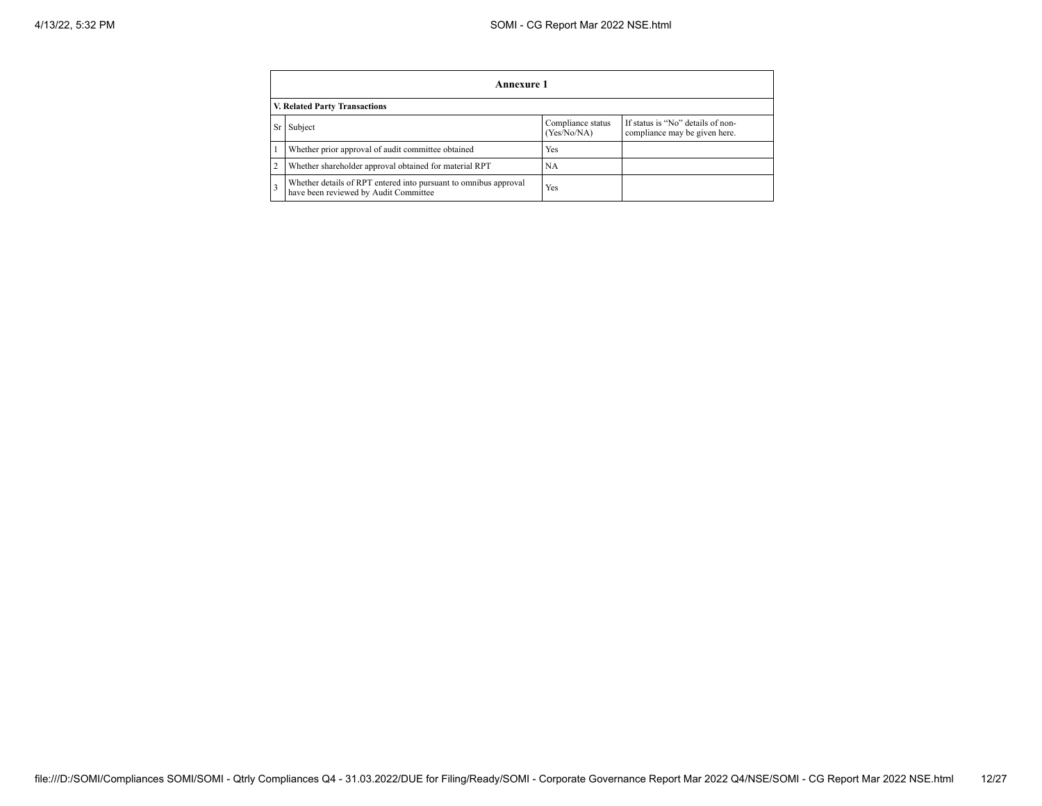|   | Annexure 1                                                                                                        |     |  |  |  |  |  |  |  |
|---|-------------------------------------------------------------------------------------------------------------------|-----|--|--|--|--|--|--|--|
|   | V. Related Party Transactions                                                                                     |     |  |  |  |  |  |  |  |
|   | If status is "No" details of non-<br>Compliance status<br>Subject<br>(Yes/No/NA)<br>compliance may be given here. |     |  |  |  |  |  |  |  |
|   | Whether prior approval of audit committee obtained                                                                | Yes |  |  |  |  |  |  |  |
| 2 | Whether shareholder approval obtained for material RPT                                                            | NA  |  |  |  |  |  |  |  |
|   | Whether details of RPT entered into pursuant to omnibus approval<br>have been reviewed by Audit Committee         | Yes |  |  |  |  |  |  |  |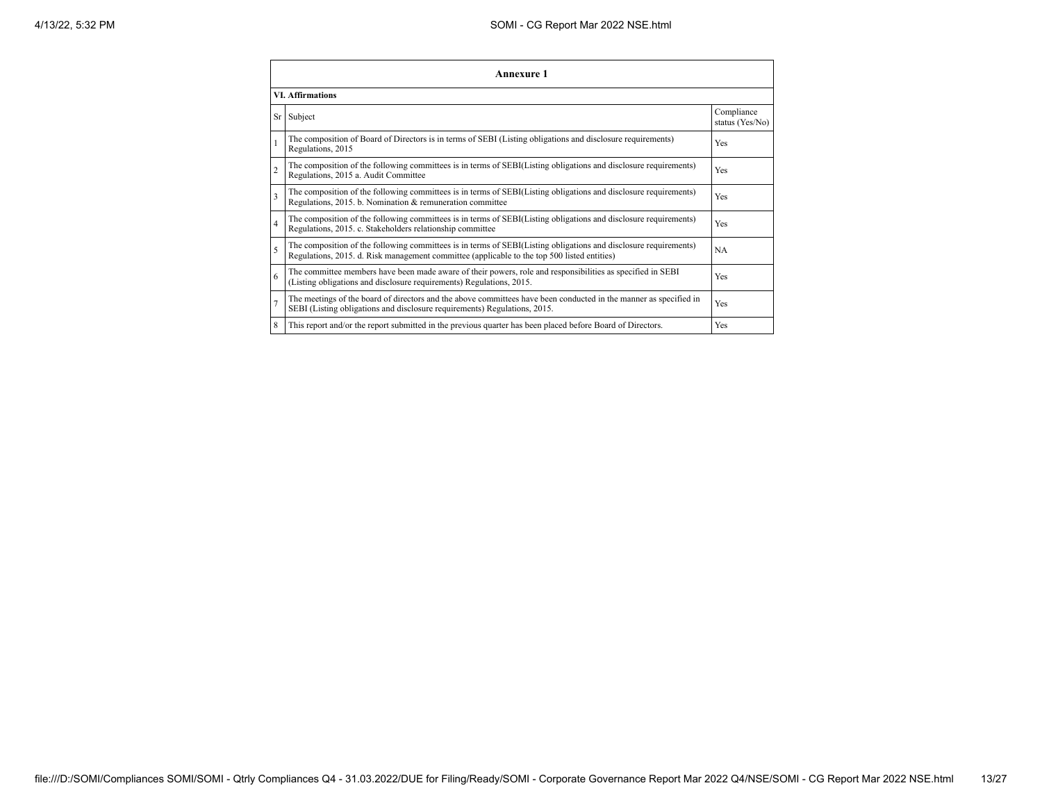|                | Annexure 1                                                                                                                                                                                                      |                               |  |  |
|----------------|-----------------------------------------------------------------------------------------------------------------------------------------------------------------------------------------------------------------|-------------------------------|--|--|
|                | <b>VI. Affirmations</b>                                                                                                                                                                                         |                               |  |  |
|                | Sr Subject                                                                                                                                                                                                      | Compliance<br>status (Yes/No) |  |  |
|                | The composition of Board of Directors is in terms of SEBI (Listing obligations and disclosure requirements)<br>Regulations, 2015                                                                                | Yes                           |  |  |
| $\overline{c}$ | The composition of the following committees is in terms of SEBI(Listing obligations and disclosure requirements)<br>Regulations, 2015 a. Audit Committee                                                        | Yes                           |  |  |
| 3              | The composition of the following committees is in terms of SEBI(Listing obligations and disclosure requirements)<br>Regulations, 2015. b. Nomination & remuneration committee                                   | Yes                           |  |  |
| 4              | The composition of the following committees is in terms of SEBI(Listing obligations and disclosure requirements)<br>Regulations, 2015. c. Stakeholders relationship committee                                   | Yes                           |  |  |
| 5              | The composition of the following committees is in terms of SEBI(Listing obligations and disclosure requirements)<br>Regulations, 2015. d. Risk management committee (applicable to the top 500 listed entities) | <b>NA</b>                     |  |  |
| 6              | The committee members have been made aware of their powers, role and responsibilities as specified in SEBI<br>(Listing obligations and disclosure requirements) Regulations, 2015.                              | Yes                           |  |  |
|                | The meetings of the board of directors and the above committees have been conducted in the manner as specified in<br>SEBI (Listing obligations and disclosure requirements) Regulations, 2015.                  | Yes                           |  |  |
| 8              | This report and/or the report submitted in the previous quarter has been placed before Board of Directors.                                                                                                      | Yes                           |  |  |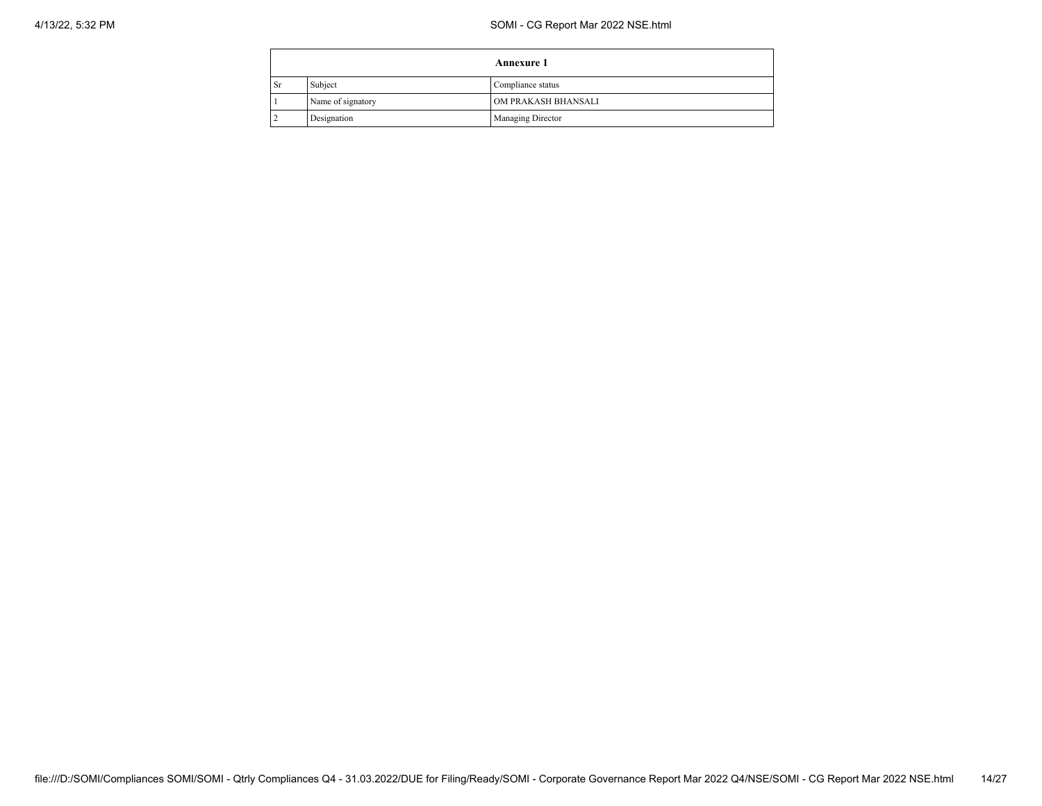## 4/13/22, 5:32 PM SOMI - CG Report Mar 2022 NSE.html

|    |                   | <b>Annexure 1</b>   |
|----|-------------------|---------------------|
| Sr | Subject           | Compliance status   |
|    | Name of signatory | OM PRAKASH BHANSALI |
|    | Designation       | Managing Director   |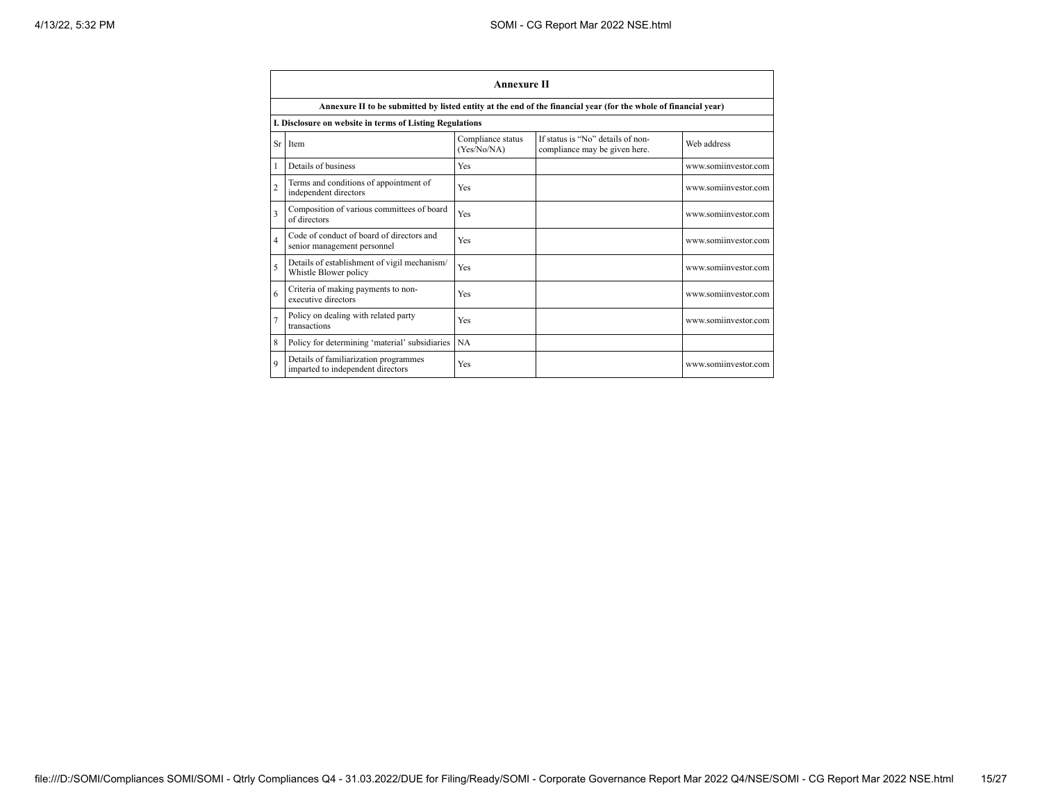|                | <b>Annexure II</b>                                                                                              |                                  |                                                                    |                      |  |  |
|----------------|-----------------------------------------------------------------------------------------------------------------|----------------------------------|--------------------------------------------------------------------|----------------------|--|--|
|                | Annexure II to be submitted by listed entity at the end of the financial year (for the whole of financial year) |                                  |                                                                    |                      |  |  |
|                | I. Disclosure on website in terms of Listing Regulations                                                        |                                  |                                                                    |                      |  |  |
|                | Sr Item                                                                                                         | Compliance status<br>(Yes/No/NA) | If status is "No" details of non-<br>compliance may be given here. | Web address          |  |  |
|                | Details of business                                                                                             | Yes                              |                                                                    | www.somiinvestor.com |  |  |
| $\overline{2}$ | Terms and conditions of appointment of<br>independent directors                                                 | Yes                              |                                                                    | www.somiinvestor.com |  |  |
| 3              | Composition of various committees of board<br>of directors                                                      | Yes                              |                                                                    | www.somiinvestor.com |  |  |
| $\overline{4}$ | Code of conduct of board of directors and<br>senior management personnel                                        | Yes                              |                                                                    | www.somiinvestor.com |  |  |
| 5              | Details of establishment of vigil mechanism/<br>Whistle Blower policy                                           | Yes                              |                                                                    | www.somiinvestor.com |  |  |
| 6              | Criteria of making payments to non-<br>executive directors                                                      | Yes                              |                                                                    | www.somiinvestor.com |  |  |
|                | Policy on dealing with related party<br>transactions                                                            | Yes                              |                                                                    | www.somiinvestor.com |  |  |
| 8              | Policy for determining 'material' subsidiaries                                                                  | <b>NA</b>                        |                                                                    |                      |  |  |
| $\mathbf Q$    | Details of familiarization programmes<br>imparted to independent directors                                      | Yes                              |                                                                    | www.somiinvestor.com |  |  |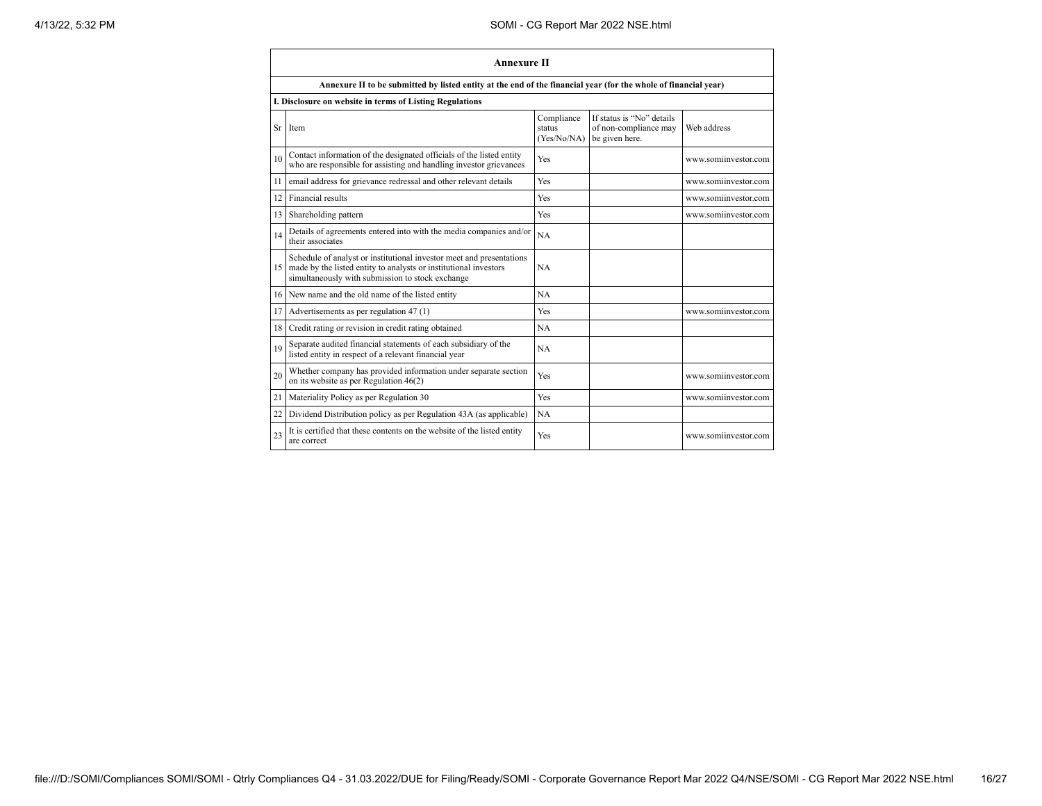|                 | <b>Annexure II</b>                                                                                                                                                                              |                                     |                                                                      |                      |  |
|-----------------|-------------------------------------------------------------------------------------------------------------------------------------------------------------------------------------------------|-------------------------------------|----------------------------------------------------------------------|----------------------|--|
|                 | Annexure II to be submitted by listed entity at the end of the financial year (for the whole of financial year)                                                                                 |                                     |                                                                      |                      |  |
|                 | I. Disclosure on website in terms of Listing Regulations                                                                                                                                        |                                     |                                                                      |                      |  |
|                 | Sr Item                                                                                                                                                                                         | Compliance<br>status<br>(Yes/No/NA) | If status is "No" details<br>of non-compliance may<br>be given here. | Web address          |  |
| 10              | Contact information of the designated officials of the listed entity<br>who are responsible for assisting and handling investor grievances                                                      | Yes                                 |                                                                      | www.somiinvestor.com |  |
| 11              | email address for grievance redressal and other relevant details                                                                                                                                | Yes                                 |                                                                      | www.somiinvestor.com |  |
| 12 <sup>1</sup> | Financial results                                                                                                                                                                               | Yes                                 |                                                                      | www.somiinvestor.com |  |
| 13 <sup>1</sup> | Shareholding pattern                                                                                                                                                                            | Yes                                 |                                                                      | www.somiinvestor.com |  |
| 14              | Details of agreements entered into with the media companies and/or<br>their associates                                                                                                          | <b>NA</b>                           |                                                                      |                      |  |
|                 | Schedule of analyst or institutional investor meet and presentations<br>15 made by the listed entity to analysts or institutional investors<br>simultaneously with submission to stock exchange | NA                                  |                                                                      |                      |  |
|                 | 16 New name and the old name of the listed entity                                                                                                                                               | NA                                  |                                                                      |                      |  |
| 17 <sup>1</sup> | Advertisements as per regulation 47 (1)                                                                                                                                                         | Yes                                 |                                                                      | www.somiinvestor.com |  |
| 18              | Credit rating or revision in credit rating obtained                                                                                                                                             | NA                                  |                                                                      |                      |  |
| 19              | Separate audited financial statements of each subsidiary of the<br>listed entity in respect of a relevant financial year                                                                        | <b>NA</b>                           |                                                                      |                      |  |
| 20              | Whether company has provided information under separate section<br>on its website as per Regulation $46(2)$                                                                                     | Yes                                 |                                                                      | www.somiinvestor.com |  |
| 21              | Materiality Policy as per Regulation 30                                                                                                                                                         | Yes                                 |                                                                      | www.somiinvestor.com |  |
| 22              | Dividend Distribution policy as per Regulation 43A (as applicable)                                                                                                                              | <b>NA</b>                           |                                                                      |                      |  |
| 23              | It is certified that these contents on the website of the listed entity<br>are correct                                                                                                          | Yes                                 |                                                                      | www.somiinvestor.com |  |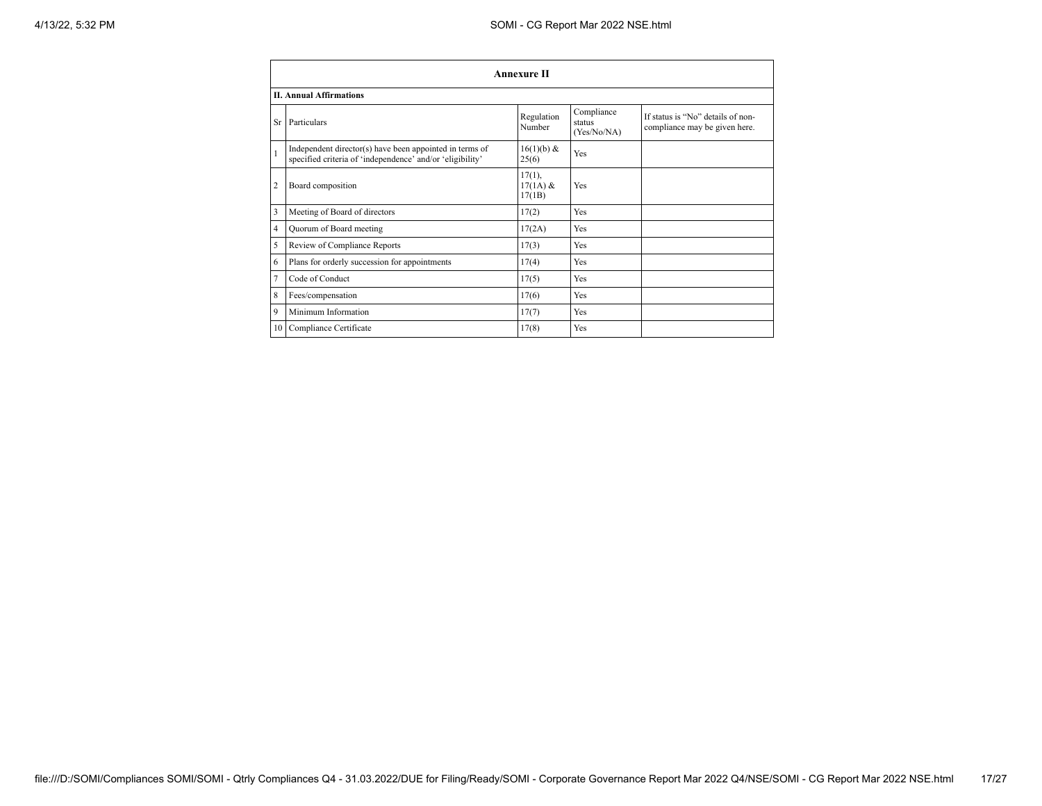|                | <b>Annexure II</b>                                                                                                   |                                   |                                     |                                                                    |  |
|----------------|----------------------------------------------------------------------------------------------------------------------|-----------------------------------|-------------------------------------|--------------------------------------------------------------------|--|
|                | <b>II. Annual Affirmations</b>                                                                                       |                                   |                                     |                                                                    |  |
| Sr             | Particulars                                                                                                          | Regulation<br>Number              | Compliance<br>status<br>(Yes/No/NA) | If status is "No" details of non-<br>compliance may be given here. |  |
| $\mathbf{1}$   | Independent director(s) have been appointed in terms of<br>specified criteria of 'independence' and/or 'eligibility' | 16(1)(b) &<br>25(6)               | Yes                                 |                                                                    |  |
| $\overline{2}$ | Board composition                                                                                                    | $17(1)$ ,<br>$17(1A)$ &<br>17(1B) | Yes                                 |                                                                    |  |
| 3              | Meeting of Board of directors                                                                                        | 17(2)                             | Yes                                 |                                                                    |  |
| 4              | Quorum of Board meeting                                                                                              | 17(2A)                            | Yes                                 |                                                                    |  |
| 5              | Review of Compliance Reports                                                                                         | 17(3)                             | Yes                                 |                                                                    |  |
| 6              | Plans for orderly succession for appointments                                                                        | 17(4)                             | Yes                                 |                                                                    |  |
| 7              | Code of Conduct                                                                                                      | 17(5)                             | Yes                                 |                                                                    |  |
| 8              | Fees/compensation                                                                                                    | 17(6)                             | Yes                                 |                                                                    |  |
| 9              | Minimum Information                                                                                                  | 17(7)                             | Yes                                 |                                                                    |  |
|                | 10 Compliance Certificate                                                                                            | 17(8)                             | Yes                                 |                                                                    |  |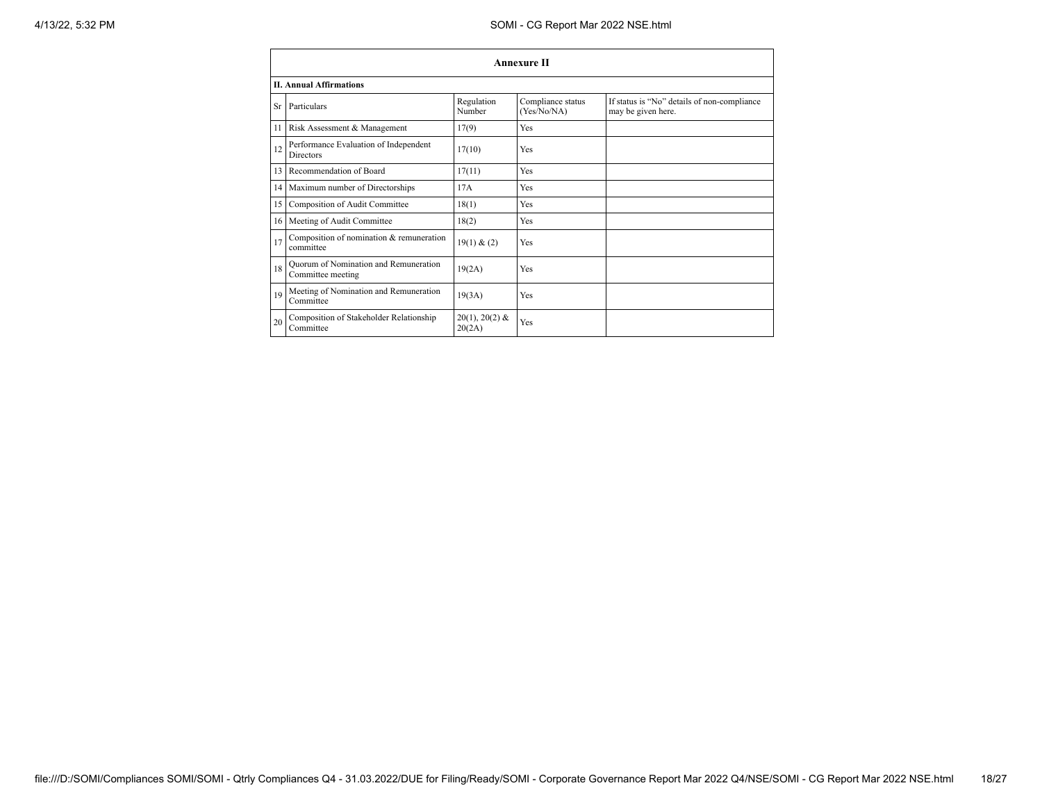|                 | <b>Annexure II</b>                                         |                            |                                  |                                                                   |  |
|-----------------|------------------------------------------------------------|----------------------------|----------------------------------|-------------------------------------------------------------------|--|
|                 | <b>II. Annual Affirmations</b>                             |                            |                                  |                                                                   |  |
| Sr              | Particulars                                                | Regulation<br>Number       | Compliance status<br>(Yes/No/NA) | If status is "No" details of non-compliance<br>may be given here. |  |
| 11              | Risk Assessment & Management                               | 17(9)                      | Yes                              |                                                                   |  |
| 12              | Performance Evaluation of Independent<br><b>Directors</b>  | 17(10)                     | Yes                              |                                                                   |  |
| 13              | Recommendation of Board                                    | 17(11)                     | Yes                              |                                                                   |  |
| 14              | Maximum number of Directorships                            | 17A                        | Yes                              |                                                                   |  |
| 15              | Composition of Audit Committee                             | 18(1)                      | Yes                              |                                                                   |  |
| 16 <sup>1</sup> | Meeting of Audit Committee                                 | 18(2)                      | Yes                              |                                                                   |  |
| 17              | Composition of nomination & remuneration<br>committee      | 19(1) & (2)                | Yes                              |                                                                   |  |
| 18              | Quorum of Nomination and Remuneration<br>Committee meeting | 19(2A)                     | Yes                              |                                                                   |  |
| 19              | Meeting of Nomination and Remuneration<br>Committee        | 19(3A)                     | Yes                              |                                                                   |  |
| 20              | Composition of Stakeholder Relationship<br>Committee       | $20(1), 20(2)$ &<br>20(2A) | Yes                              |                                                                   |  |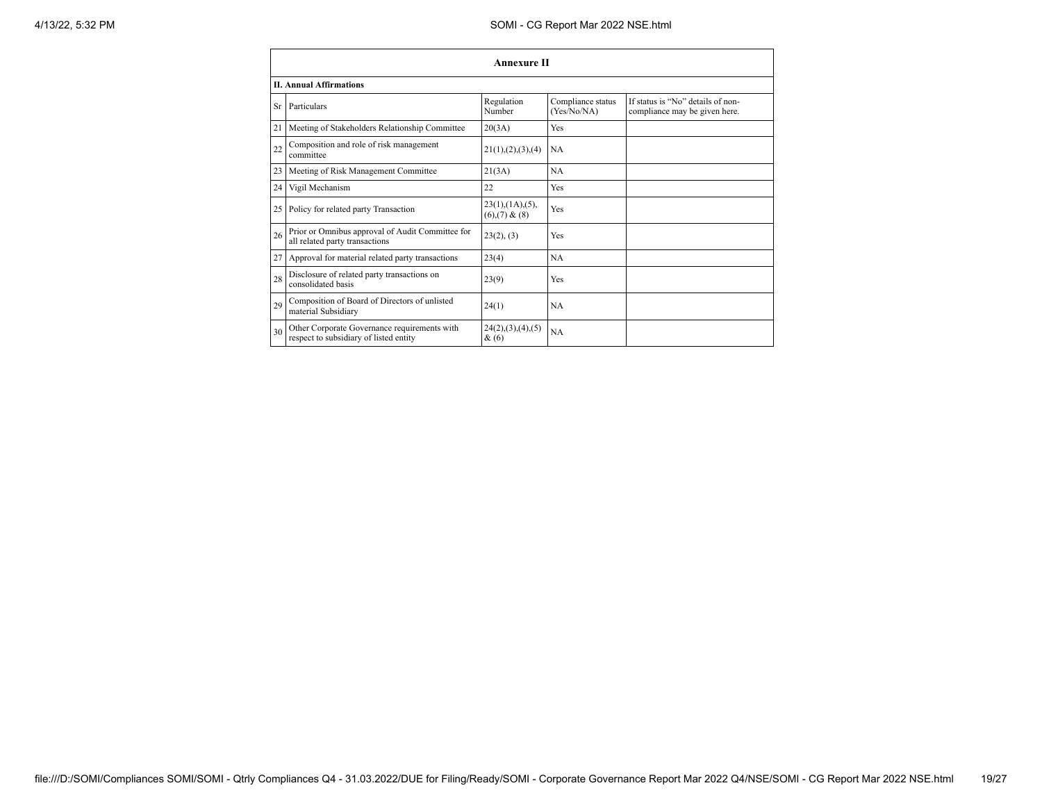| <b>Annexure II</b> |                                                                                        |                                                |                                  |                                                                    |  |
|--------------------|----------------------------------------------------------------------------------------|------------------------------------------------|----------------------------------|--------------------------------------------------------------------|--|
|                    | <b>II. Annual Affirmations</b>                                                         |                                                |                                  |                                                                    |  |
| Sr                 | Particulars                                                                            | Regulation<br>Number                           | Compliance status<br>(Yes/No/NA) | If status is "No" details of non-<br>compliance may be given here. |  |
| 21                 | Meeting of Stakeholders Relationship Committee                                         | 20(3A)                                         | Yes                              |                                                                    |  |
| 22                 | Composition and role of risk management<br>committee                                   | 21(1), (2), (3), (4)                           | <b>NA</b>                        |                                                                    |  |
| 23                 | Meeting of Risk Management Committee                                                   | 21(3A)                                         | NA                               |                                                                    |  |
| 24                 | Vigil Mechanism                                                                        | 22                                             | Yes                              |                                                                    |  |
| 25                 | Policy for related party Transaction                                                   | $23(1)$ , $(1A)$ , $(5)$ ,<br>$(6)(7)$ & $(8)$ | Yes                              |                                                                    |  |
| 26                 | Prior or Omnibus approval of Audit Committee for<br>all related party transactions     | 23(2), (3)                                     | Yes                              |                                                                    |  |
| 27                 | Approval for material related party transactions                                       | 23(4)                                          | NA                               |                                                                    |  |
| 28                 | Disclosure of related party transactions on<br>consolidated basis                      | 23(9)                                          | Yes                              |                                                                    |  |
| 29                 | Composition of Board of Directors of unlisted<br>material Subsidiary                   | 24(1)                                          | NA                               |                                                                    |  |
| 30                 | Other Corporate Governance requirements with<br>respect to subsidiary of listed entity | 24(2),(3),(4),(5)<br>$\&(6)$                   | NA                               |                                                                    |  |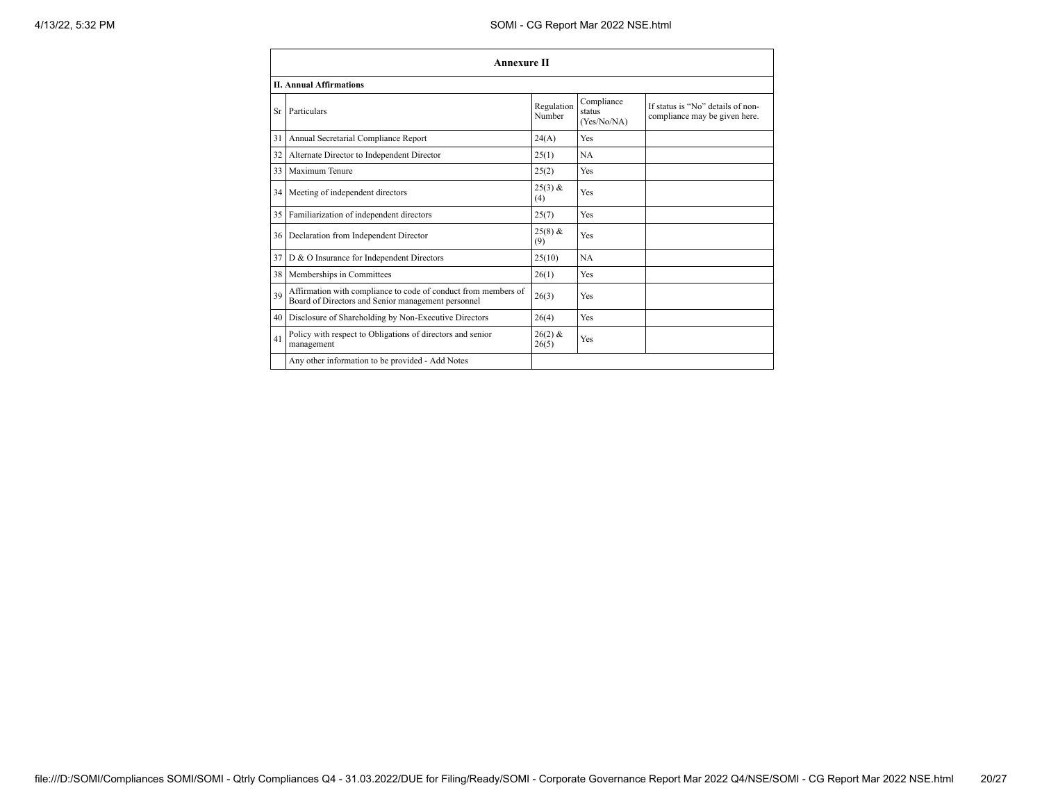|    | Annexure II                                                                                                          |                      |                                     |                                                                    |  |
|----|----------------------------------------------------------------------------------------------------------------------|----------------------|-------------------------------------|--------------------------------------------------------------------|--|
|    | <b>II. Annual Affirmations</b>                                                                                       |                      |                                     |                                                                    |  |
| Sr | Particulars                                                                                                          | Regulation<br>Number | Compliance<br>status<br>(Yes/No/NA) | If status is "No" details of non-<br>compliance may be given here. |  |
| 31 | Annual Secretarial Compliance Report                                                                                 | 24(A)                | Yes                                 |                                                                    |  |
| 32 | Alternate Director to Independent Director                                                                           | 25(1)                | NA                                  |                                                                    |  |
| 33 | Maximum Tenure                                                                                                       | 25(2)                | Yes                                 |                                                                    |  |
| 34 | Meeting of independent directors                                                                                     | $25(3)$ &<br>(4)     | Yes                                 |                                                                    |  |
| 35 | Familiarization of independent directors                                                                             | 25(7)                | Yes                                 |                                                                    |  |
| 36 | Declaration from Independent Director                                                                                | $25(8)$ &<br>(9)     | Yes                                 |                                                                    |  |
| 37 | D & O Insurance for Independent Directors                                                                            | 25(10)               | NA                                  |                                                                    |  |
| 38 | Memberships in Committees                                                                                            | 26(1)                | Yes                                 |                                                                    |  |
| 39 | Affirmation with compliance to code of conduct from members of<br>Board of Directors and Senior management personnel | 26(3)                | Yes                                 |                                                                    |  |
| 40 | Disclosure of Shareholding by Non-Executive Directors                                                                | 26(4)                | Yes                                 |                                                                    |  |
| 41 | Policy with respect to Obligations of directors and senior<br>management                                             | $26(2)$ &<br>26(5)   | Yes                                 |                                                                    |  |
|    | Any other information to be provided - Add Notes                                                                     |                      |                                     |                                                                    |  |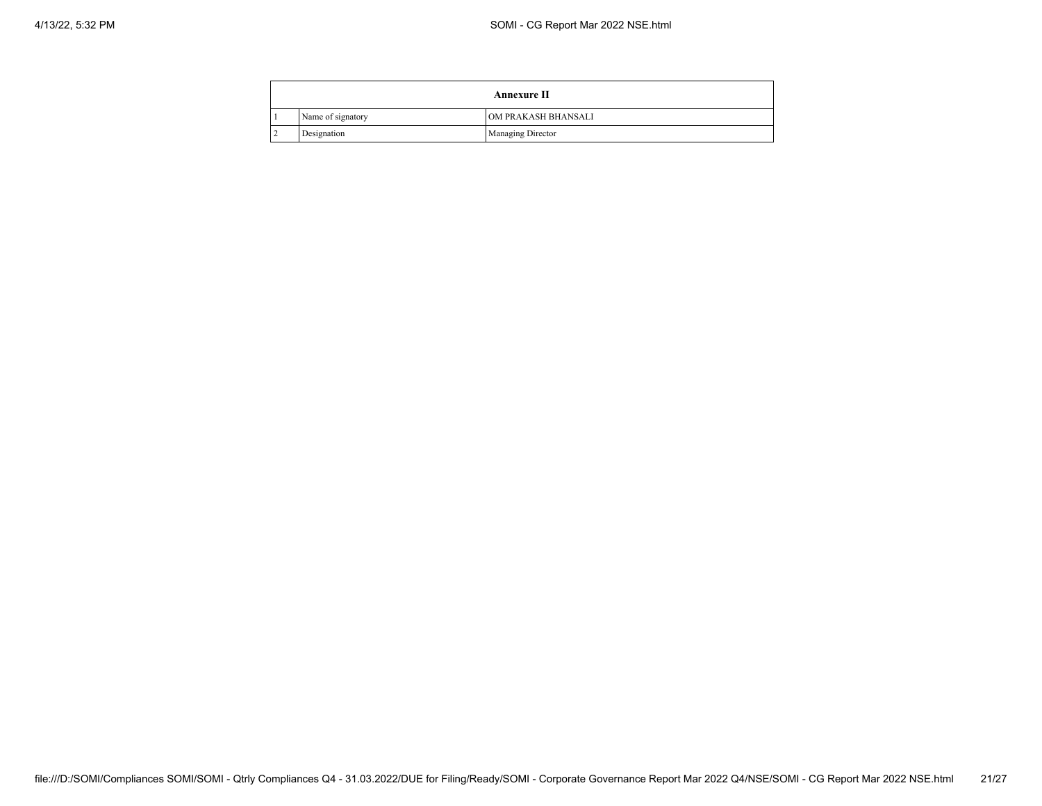| <b>Annexure II</b> |                   |                          |  |  |
|--------------------|-------------------|--------------------------|--|--|
|                    | Name of signatory | OM PRAKASH BHANSALI      |  |  |
|                    | Designation       | <b>Managing Director</b> |  |  |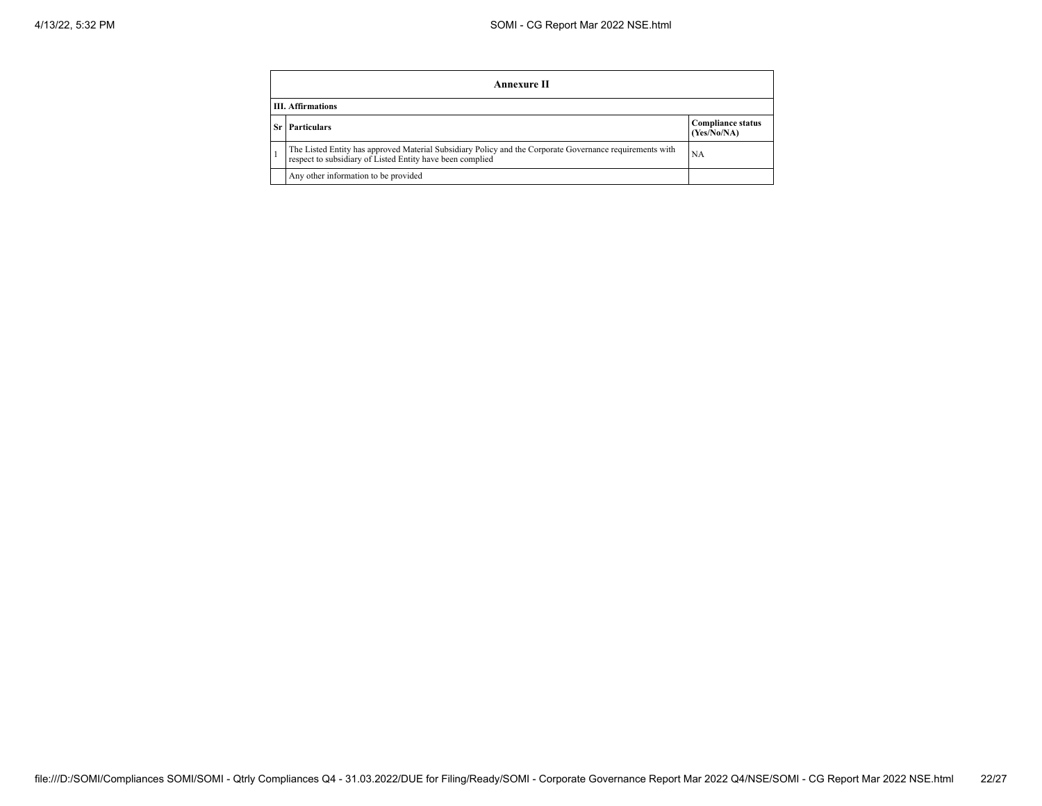|      | Annexure II                                                                                                                                                           |                                         |  |  |
|------|-----------------------------------------------------------------------------------------------------------------------------------------------------------------------|-----------------------------------------|--|--|
|      | <b>III.</b> Affirmations                                                                                                                                              |                                         |  |  |
| Sr l | <b>Particulars</b>                                                                                                                                                    | <b>Compliance status</b><br>(Yes/No/NA) |  |  |
|      | The Listed Entity has approved Material Subsidiary Policy and the Corporate Governance requirements with<br>respect to subsidiary of Listed Entity have been complied | <b>NA</b>                               |  |  |
|      | Any other information to be provided                                                                                                                                  |                                         |  |  |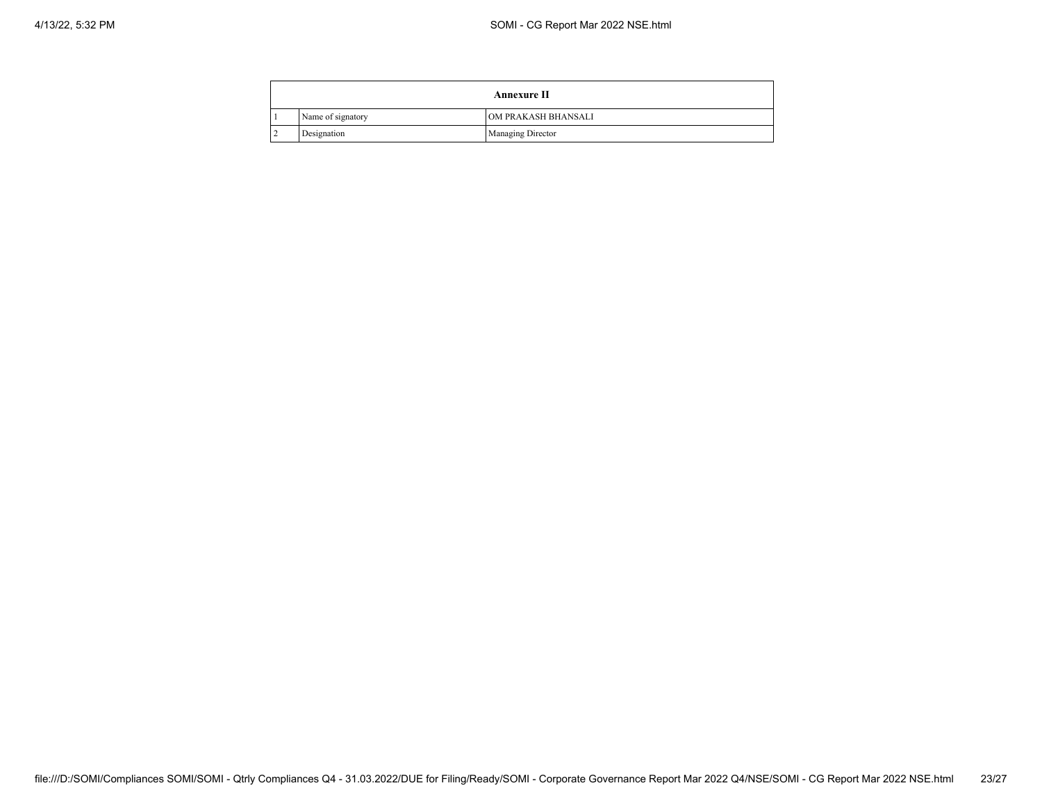| <b>Annexure II</b> |                   |                          |  |
|--------------------|-------------------|--------------------------|--|
|                    | Name of signatory | OM PRAKASH BHANSALI      |  |
|                    | Designation       | <b>Managing Director</b> |  |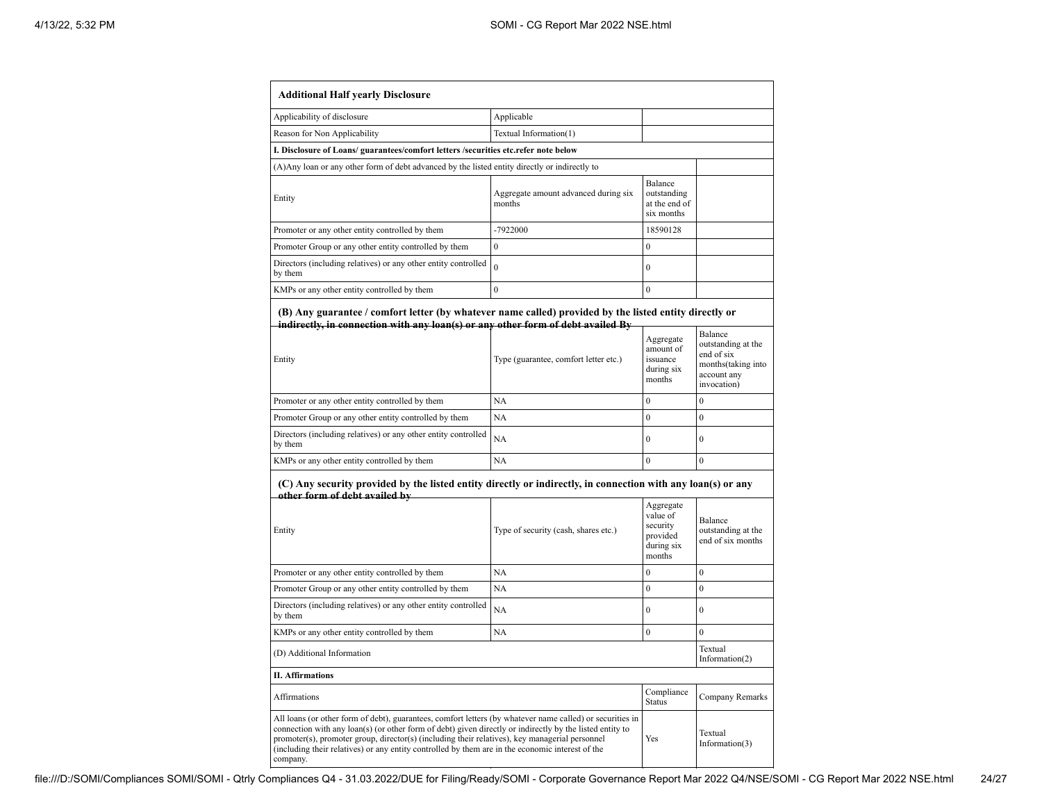| <b>Additional Half yearly Disclosure</b>                                                                                                                                                                                                                                                                                                                                                                                                |                                                |                                                                       |                                                                                                 |
|-----------------------------------------------------------------------------------------------------------------------------------------------------------------------------------------------------------------------------------------------------------------------------------------------------------------------------------------------------------------------------------------------------------------------------------------|------------------------------------------------|-----------------------------------------------------------------------|-------------------------------------------------------------------------------------------------|
| Applicability of disclosure                                                                                                                                                                                                                                                                                                                                                                                                             | Applicable                                     |                                                                       |                                                                                                 |
| Reason for Non Applicability                                                                                                                                                                                                                                                                                                                                                                                                            | Textual Information(1)                         |                                                                       |                                                                                                 |
| I. Disclosure of Loans/ guarantees/comfort letters /securities etc.refer note below                                                                                                                                                                                                                                                                                                                                                     |                                                |                                                                       |                                                                                                 |
| (A) Any loan or any other form of debt advanced by the listed entity directly or indirectly to                                                                                                                                                                                                                                                                                                                                          |                                                |                                                                       |                                                                                                 |
| Entity                                                                                                                                                                                                                                                                                                                                                                                                                                  | Aggregate amount advanced during six<br>months | Balance<br>outstanding<br>at the end of<br>six months                 |                                                                                                 |
| Promoter or any other entity controlled by them                                                                                                                                                                                                                                                                                                                                                                                         | -7922000                                       | 18590128                                                              |                                                                                                 |
| Promoter Group or any other entity controlled by them                                                                                                                                                                                                                                                                                                                                                                                   | $\overline{0}$                                 | $\theta$                                                              |                                                                                                 |
| Directors (including relatives) or any other entity controlled<br>by them                                                                                                                                                                                                                                                                                                                                                               | $\overline{0}$                                 | $\theta$                                                              |                                                                                                 |
| KMPs or any other entity controlled by them                                                                                                                                                                                                                                                                                                                                                                                             | $\mathbf{0}$                                   | $\theta$                                                              |                                                                                                 |
| (B) Any guarantee / comfort letter (by whatever name called) provided by the listed entity directly or<br>indirectly, in connection with any loan(s) or any other form of debt availed By<br>Entity                                                                                                                                                                                                                                     | Type (guarantee, comfort letter etc.)          | Aggregate<br>amount of<br>issuance<br>during six<br>months            | Balance<br>outstanding at the<br>end of six<br>months(taking into<br>account any<br>invocation) |
| Promoter or any other entity controlled by them                                                                                                                                                                                                                                                                                                                                                                                         | NA                                             | $\theta$                                                              | $\theta$                                                                                        |
| Promoter Group or any other entity controlled by them                                                                                                                                                                                                                                                                                                                                                                                   | NA                                             | $\overline{0}$                                                        | $\mathbf{0}$                                                                                    |
| Directors (including relatives) or any other entity controlled<br>by them                                                                                                                                                                                                                                                                                                                                                               | NA                                             | $\overline{0}$                                                        | $\overline{0}$                                                                                  |
| KMPs or any other entity controlled by them                                                                                                                                                                                                                                                                                                                                                                                             | NA                                             | $\theta$                                                              | $\theta$                                                                                        |
| (C) Any security provided by the listed entity directly or indirectly, in connection with any loan(s) or any<br>other form of debt availed by<br>Entity                                                                                                                                                                                                                                                                                 | Type of security (cash, shares etc.)           | Aggregate<br>value of<br>security<br>provided<br>during six<br>months | Balance<br>outstanding at the<br>end of six months                                              |
| Promoter or any other entity controlled by them                                                                                                                                                                                                                                                                                                                                                                                         | NA                                             | $\mathbf{0}$                                                          | $\overline{0}$                                                                                  |
| Promoter Group or any other entity controlled by them                                                                                                                                                                                                                                                                                                                                                                                   | NA                                             | $\mathbf{0}$                                                          | $\mathbf{0}$                                                                                    |
| Directors (including relatives) or any other entity controlled<br>by them                                                                                                                                                                                                                                                                                                                                                               | NA                                             | $\mathbf{0}$                                                          | $\mathbf{0}$                                                                                    |
| KMPs or any other entity controlled by them                                                                                                                                                                                                                                                                                                                                                                                             | NA                                             | $\mathbf{0}$                                                          | $\mathbf{0}$                                                                                    |
| (D) Additional Information                                                                                                                                                                                                                                                                                                                                                                                                              |                                                |                                                                       | Textual<br>Information(2)                                                                       |
| <b>II. Affirmations</b>                                                                                                                                                                                                                                                                                                                                                                                                                 |                                                |                                                                       |                                                                                                 |
| Affirmations                                                                                                                                                                                                                                                                                                                                                                                                                            |                                                | Compliance<br><b>Status</b>                                           | Company Remarks                                                                                 |
| All loans (or other form of debt), guarantees, comfort letters (by whatever name called) or securities in<br>connection with any loan(s) (or other form of debt) given directly or indirectly by the listed entity to<br>promoter(s), promoter group, director(s) (including their relatives), key managerial personnel<br>(including their relatives) or any entity controlled by them are in the economic interest of the<br>company. |                                                | Yes                                                                   | Textual<br>Information(3)                                                                       |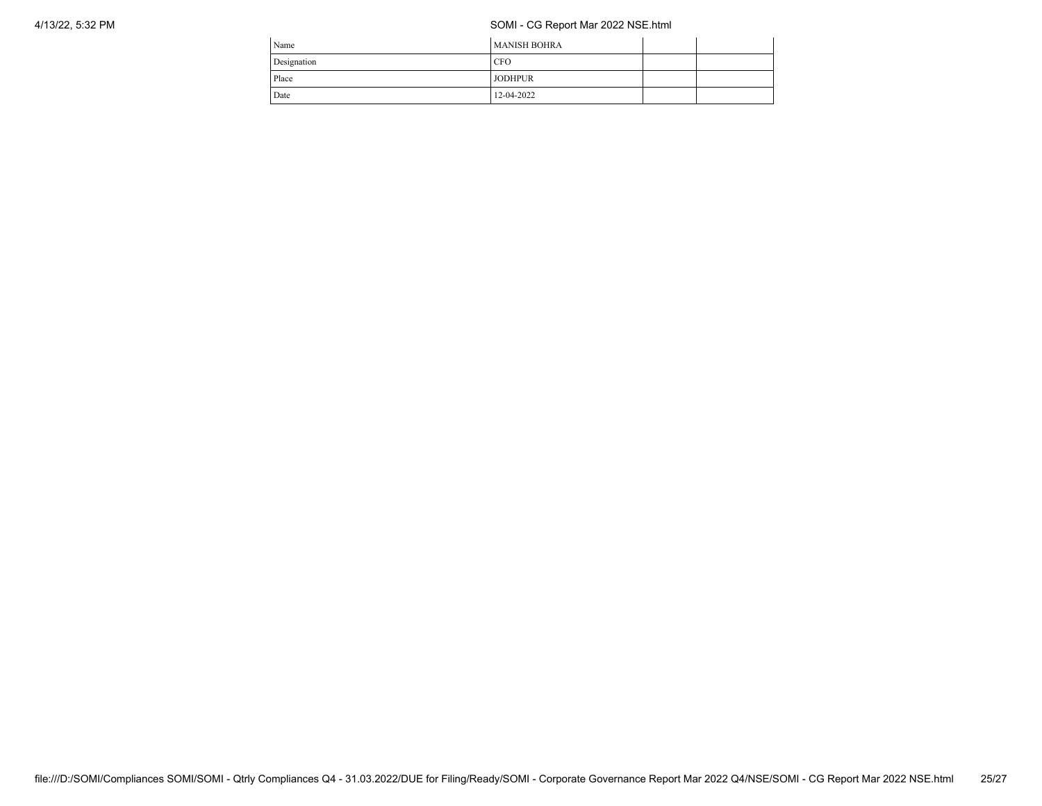## 4/13/22, 5:32 PM SOMI - CG Report Mar 2022 NSE.html

| Name        | <b>MANISH BOHRA</b> |  |
|-------------|---------------------|--|
| Designation | <b>CFO</b>          |  |
| Place       | <b>JODHPUR</b>      |  |
| Date        | 12-04-2022          |  |